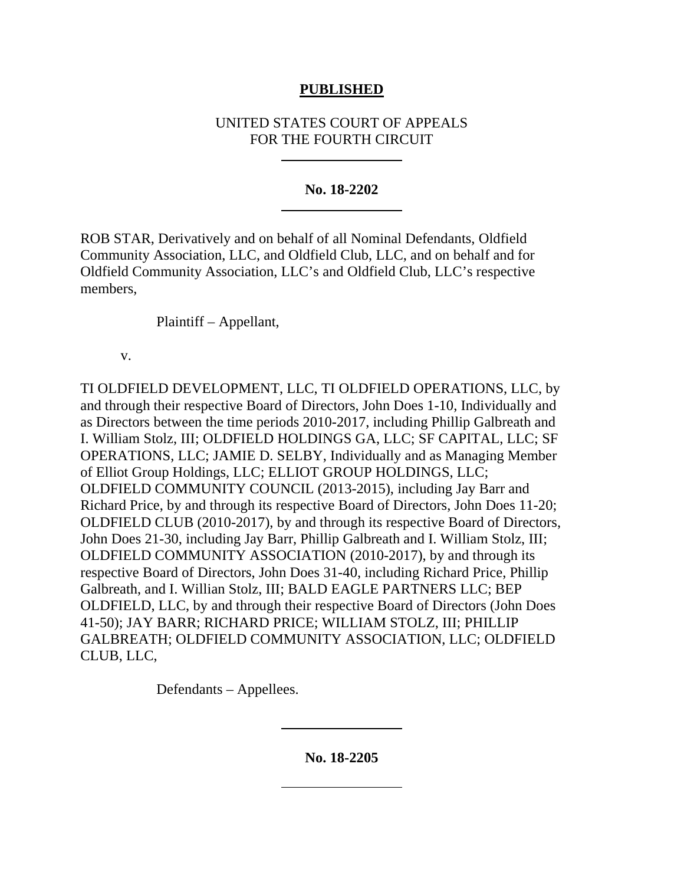## **PUBLISHED**

# UNITED STATES COURT OF APPEALS FOR THE FOURTH CIRCUIT

## **No. 18-2202**

ROB STAR, Derivatively and on behalf of all Nominal Defendants, Oldfield Community Association, LLC, and Oldfield Club, LLC, and on behalf and for Oldfield Community Association, LLC's and Oldfield Club, LLC's respective members,

Plaintiff – Appellant,

v.

TI OLDFIELD DEVELOPMENT, LLC, TI OLDFIELD OPERATIONS, LLC, by and through their respective Board of Directors, John Does 1-10, Individually and as Directors between the time periods 2010-2017, including Phillip Galbreath and I. William Stolz, III; OLDFIELD HOLDINGS GA, LLC; SF CAPITAL, LLC; SF OPERATIONS, LLC; JAMIE D. SELBY, Individually and as Managing Member of Elliot Group Holdings, LLC; ELLIOT GROUP HOLDINGS, LLC; OLDFIELD COMMUNITY COUNCIL (2013-2015), including Jay Barr and Richard Price, by and through its respective Board of Directors, John Does 11-20; OLDFIELD CLUB (2010-2017), by and through its respective Board of Directors, John Does 21-30, including Jay Barr, Phillip Galbreath and I. William Stolz, III; OLDFIELD COMMUNITY ASSOCIATION (2010-2017), by and through its respective Board of Directors, John Does 31-40, including Richard Price, Phillip Galbreath, and I. Willian Stolz, III; BALD EAGLE PARTNERS LLC; BEP OLDFIELD, LLC, by and through their respective Board of Directors (John Does 41-50); JAY BARR; RICHARD PRICE; WILLIAM STOLZ, III; PHILLIP GALBREATH; OLDFIELD COMMUNITY ASSOCIATION, LLC; OLDFIELD CLUB, LLC,

Defendants – Appellees.

**No. 18-2205**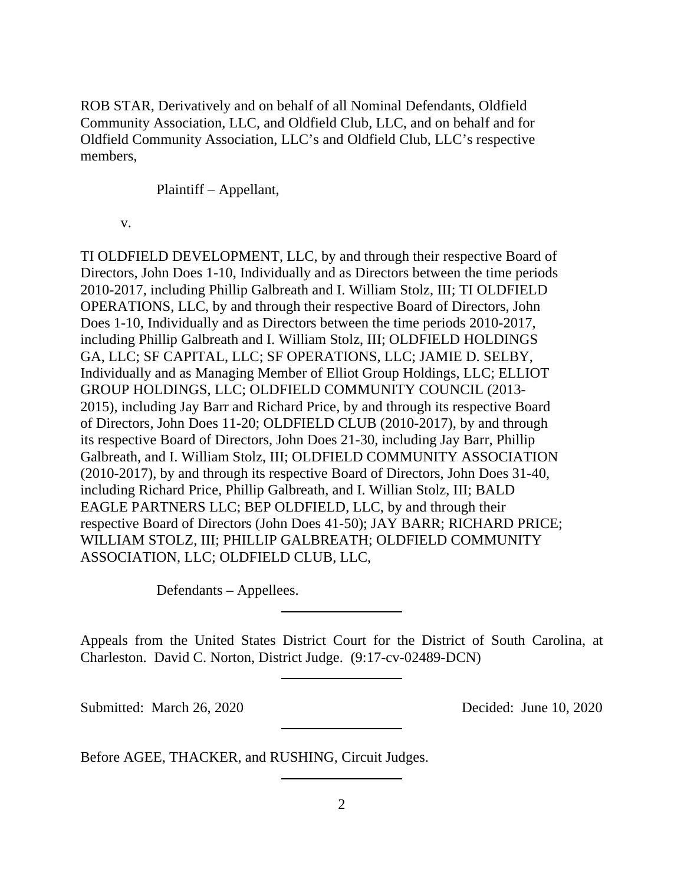ROB STAR, Derivatively and on behalf of all Nominal Defendants, Oldfield Community Association, LLC, and Oldfield Club, LLC, and on behalf and for Oldfield Community Association, LLC's and Oldfield Club, LLC's respective members,

Plaintiff – Appellant,

v.

TI OLDFIELD DEVELOPMENT, LLC, by and through their respective Board of Directors, John Does 1-10, Individually and as Directors between the time periods 2010-2017, including Phillip Galbreath and I. William Stolz, III; TI OLDFIELD OPERATIONS, LLC, by and through their respective Board of Directors, John Does 1-10, Individually and as Directors between the time periods 2010-2017, including Phillip Galbreath and I. William Stolz, III; OLDFIELD HOLDINGS GA, LLC; SF CAPITAL, LLC; SF OPERATIONS, LLC; JAMIE D. SELBY, Individually and as Managing Member of Elliot Group Holdings, LLC; ELLIOT GROUP HOLDINGS, LLC; OLDFIELD COMMUNITY COUNCIL (2013- 2015), including Jay Barr and Richard Price, by and through its respective Board of Directors, John Does 11-20; OLDFIELD CLUB (2010-2017), by and through its respective Board of Directors, John Does 21-30, including Jay Barr, Phillip Galbreath, and I. William Stolz, III; OLDFIELD COMMUNITY ASSOCIATION (2010-2017), by and through its respective Board of Directors, John Does 31-40, including Richard Price, Phillip Galbreath, and I. Willian Stolz, III; BALD EAGLE PARTNERS LLC; BEP OLDFIELD, LLC, by and through their respective Board of Directors (John Does 41-50); JAY BARR; RICHARD PRICE; WILLIAM STOLZ, III; PHILLIP GALBREATH; OLDFIELD COMMUNITY ASSOCIATION, LLC; OLDFIELD CLUB, LLC,

Defendants – Appellees.

Appeals from the United States District Court for the District of South Carolina, at Charleston. David C. Norton, District Judge. (9:17-cv-02489-DCN)

Submitted: March 26, 2020 Decided: June 10, 2020

Before AGEE, THACKER, and RUSHING, Circuit Judges.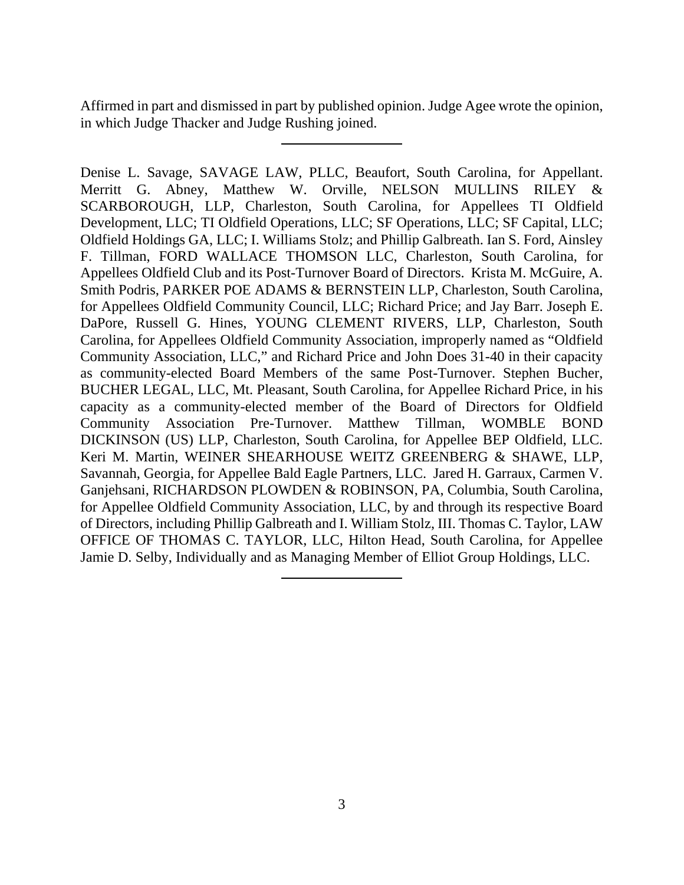Affirmed in part and dismissed in part by published opinion. Judge Agee wrote the opinion, in which Judge Thacker and Judge Rushing joined.

Denise L. Savage, SAVAGE LAW, PLLC, Beaufort, South Carolina, for Appellant. Merritt G. Abney, Matthew W. Orville, NELSON MULLINS RILEY & SCARBOROUGH, LLP, Charleston, South Carolina, for Appellees TI Oldfield Development, LLC; TI Oldfield Operations, LLC; SF Operations, LLC; SF Capital, LLC; Oldfield Holdings GA, LLC; I. Williams Stolz; and Phillip Galbreath. Ian S. Ford, Ainsley F. Tillman, FORD WALLACE THOMSON LLC, Charleston, South Carolina, for Appellees Oldfield Club and its Post-Turnover Board of Directors. Krista M. McGuire, A. Smith Podris, PARKER POE ADAMS & BERNSTEIN LLP, Charleston, South Carolina, for Appellees Oldfield Community Council, LLC; Richard Price; and Jay Barr. Joseph E. DaPore, Russell G. Hines, YOUNG CLEMENT RIVERS, LLP, Charleston, South Carolina, for Appellees Oldfield Community Association, improperly named as "Oldfield Community Association, LLC," and Richard Price and John Does 31-40 in their capacity as community-elected Board Members of the same Post-Turnover. Stephen Bucher, BUCHER LEGAL, LLC, Mt. Pleasant, South Carolina, for Appellee Richard Price, in his capacity as a community-elected member of the Board of Directors for Oldfield Community Association Pre-Turnover. Matthew Tillman, WOMBLE BOND DICKINSON (US) LLP, Charleston, South Carolina, for Appellee BEP Oldfield, LLC. Keri M. Martin, WEINER SHEARHOUSE WEITZ GREENBERG & SHAWE, LLP, Savannah, Georgia, for Appellee Bald Eagle Partners, LLC. Jared H. Garraux, Carmen V. Ganjehsani, RICHARDSON PLOWDEN & ROBINSON, PA, Columbia, South Carolina, for Appellee Oldfield Community Association, LLC, by and through its respective Board of Directors, including Phillip Galbreath and I. William Stolz, III. Thomas C. Taylor, LAW OFFICE OF THOMAS C. TAYLOR, LLC, Hilton Head, South Carolina, for Appellee Jamie D. Selby, Individually and as Managing Member of Elliot Group Holdings, LLC.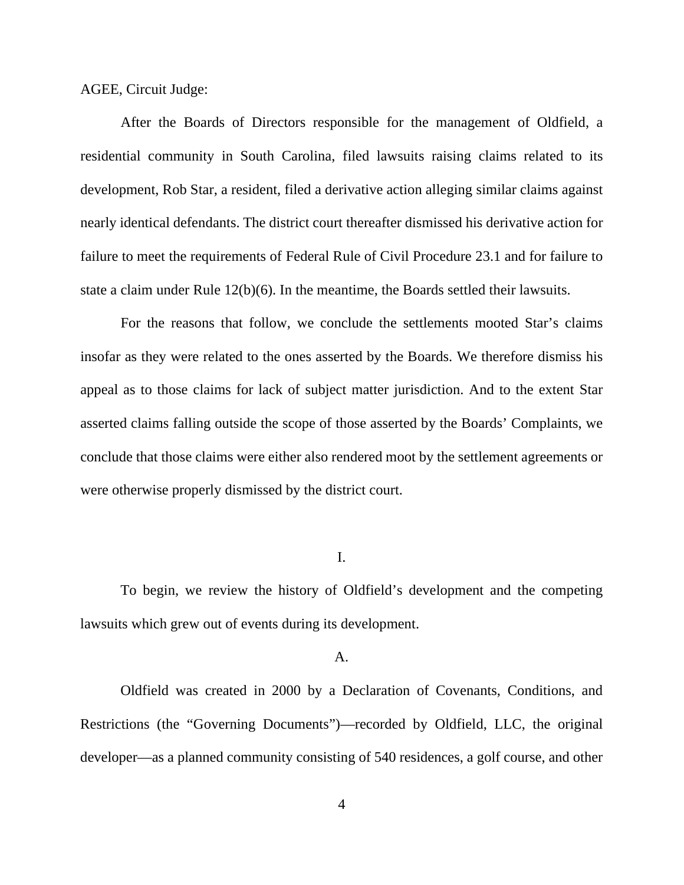AGEE, Circuit Judge:

After the Boards of Directors responsible for the management of Oldfield, a residential community in South Carolina, filed lawsuits raising claims related to its development, Rob Star, a resident, filed a derivative action alleging similar claims against nearly identical defendants. The district court thereafter dismissed his derivative action for failure to meet the requirements of Federal Rule of Civil Procedure 23.1 and for failure to state a claim under Rule 12(b)(6). In the meantime, the Boards settled their lawsuits.

For the reasons that follow, we conclude the settlements mooted Star's claims insofar as they were related to the ones asserted by the Boards. We therefore dismiss his appeal as to those claims for lack of subject matter jurisdiction. And to the extent Star asserted claims falling outside the scope of those asserted by the Boards' Complaints, we conclude that those claims were either also rendered moot by the settlement agreements or were otherwise properly dismissed by the district court.

### I.

To begin, we review the history of Oldfield's development and the competing lawsuits which grew out of events during its development.

## A.

Oldfield was created in 2000 by a Declaration of Covenants, Conditions, and Restrictions (the "Governing Documents")—recorded by Oldfield, LLC, the original developer—as a planned community consisting of 540 residences, a golf course, and other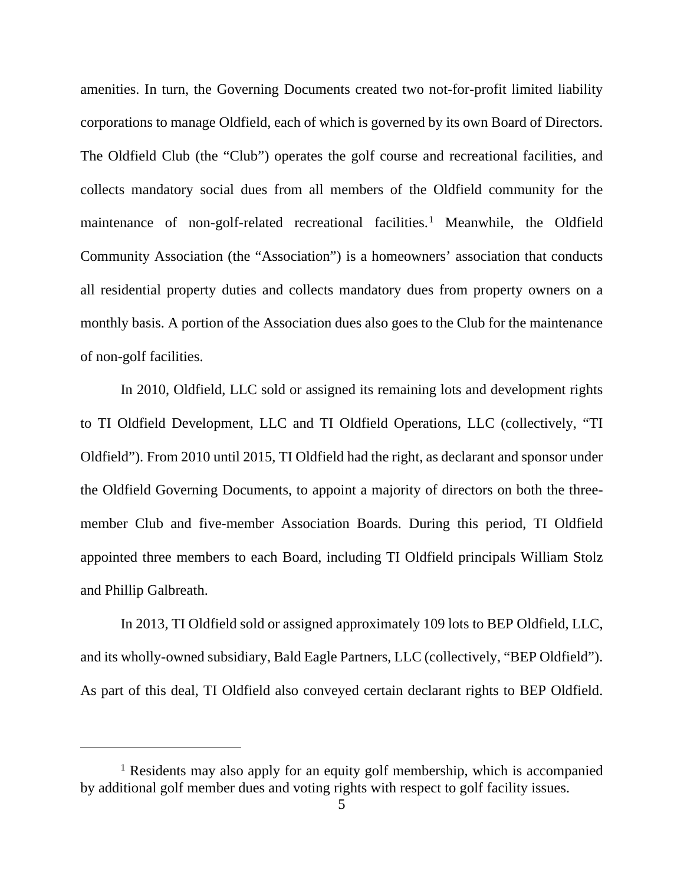amenities. In turn, the Governing Documents created two not-for-profit limited liability corporations to manage Oldfield, each of which is governed by its own Board of Directors. The Oldfield Club (the "Club") operates the golf course and recreational facilities, and collects mandatory social dues from all members of the Oldfield community for the maintenance of non-golf-related recreational facilities.<sup>[1](#page-4-0)</sup> Meanwhile, the Oldfield Community Association (the "Association") is a homeowners' association that conducts all residential property duties and collects mandatory dues from property owners on a monthly basis. A portion of the Association dues also goes to the Club for the maintenance of non-golf facilities.

In 2010, Oldfield, LLC sold or assigned its remaining lots and development rights to TI Oldfield Development, LLC and TI Oldfield Operations, LLC (collectively, "TI Oldfield"). From 2010 until 2015, TI Oldfield had the right, as declarant and sponsor under the Oldfield Governing Documents, to appoint a majority of directors on both the threemember Club and five-member Association Boards. During this period, TI Oldfield appointed three members to each Board, including TI Oldfield principals William Stolz and Phillip Galbreath.

In 2013, TI Oldfield sold or assigned approximately 109 lots to BEP Oldfield, LLC, and its wholly-owned subsidiary, Bald Eagle Partners, LLC (collectively, "BEP Oldfield"). As part of this deal, TI Oldfield also conveyed certain declarant rights to BEP Oldfield.

<span id="page-4-0"></span><sup>1</sup> Residents may also apply for an equity golf membership, which is accompanied by additional golf member dues and voting rights with respect to golf facility issues.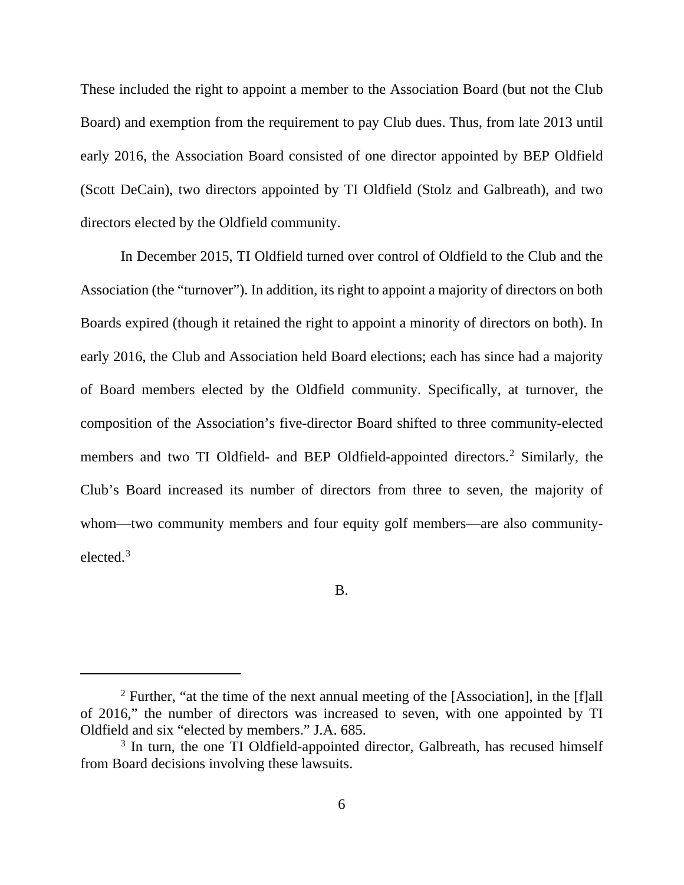These included the right to appoint a member to the Association Board (but not the Club Board) and exemption from the requirement to pay Club dues. Thus, from late 2013 until early 2016, the Association Board consisted of one director appointed by BEP Oldfield (Scott DeCain), two directors appointed by TI Oldfield (Stolz and Galbreath), and two directors elected by the Oldfield community.

In December 2015, TI Oldfield turned over control of Oldfield to the Club and the Association (the "turnover"). In addition, its right to appoint a majority of directors on both Boards expired (though it retained the right to appoint a minority of directors on both). In early 2016, the Club and Association held Board elections; each has since had a majority of Board members elected by the Oldfield community. Specifically, at turnover, the composition of the Association's five-director Board shifted to three community-elected members and two TI Oldfield- and BEP Oldfield-appointed directors.<sup>[2](#page-5-0)</sup> Similarly, the Club's Board increased its number of directors from three to seven, the majority of whom—two community members and four equity golf members—are also communityelected.[3](#page-5-1)

B.

<span id="page-5-0"></span> $2$  Further, "at the time of the next annual meeting of the [Association], in the [f]all of 2016," the number of directors was increased to seven, with one appointed by TI Oldfield and six "elected by members." J.A. 685.

<span id="page-5-1"></span><sup>&</sup>lt;sup>3</sup> In turn, the one TI Oldfield-appointed director, Galbreath, has recused himself from Board decisions involving these lawsuits.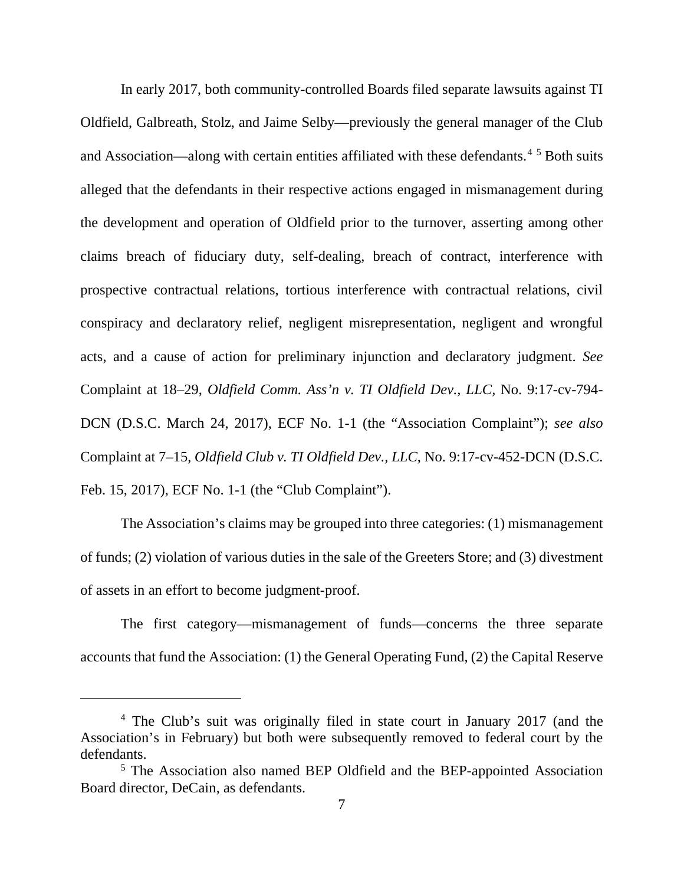In early 2017, both community-controlled Boards filed separate lawsuits against TI Oldfield, Galbreath, Stolz, and Jaime Selby—previously the general manager of the Club and Association—along with certain entities affiliated with these defendants.<sup>[4](#page-6-0) [5](#page-6-1)</sup> Both suits alleged that the defendants in their respective actions engaged in mismanagement during the development and operation of Oldfield prior to the turnover, asserting among other claims breach of fiduciary duty, self-dealing, breach of contract, interference with prospective contractual relations, tortious interference with contractual relations, civil conspiracy and declaratory relief, negligent misrepresentation, negligent and wrongful acts, and a cause of action for preliminary injunction and declaratory judgment. *See*  Complaint at 18–29, *Oldfield Comm. Ass'n v. TI Oldfield Dev., LLC,* No. 9:17-cv-794- DCN (D.S.C. March 24, 2017), ECF No. 1-1 (the "Association Complaint"); *see also* Complaint at 7–15, *Oldfield Club v. TI Oldfield Dev., LLC*, No. 9:17-cv-452-DCN (D.S.C. Feb. 15, 2017), ECF No. 1-1 (the "Club Complaint").

The Association's claims may be grouped into three categories: (1) mismanagement of funds; (2) violation of various duties in the sale of the Greeters Store; and (3) divestment of assets in an effort to become judgment-proof.

The first category—mismanagement of funds—concerns the three separate accounts that fund the Association: (1) the General Operating Fund, (2) the Capital Reserve

<span id="page-6-0"></span><sup>4</sup> The Club's suit was originally filed in state court in January 2017 (and the Association's in February) but both were subsequently removed to federal court by the defendants.

<span id="page-6-1"></span><sup>5</sup> The Association also named BEP Oldfield and the BEP-appointed Association Board director, DeCain, as defendants.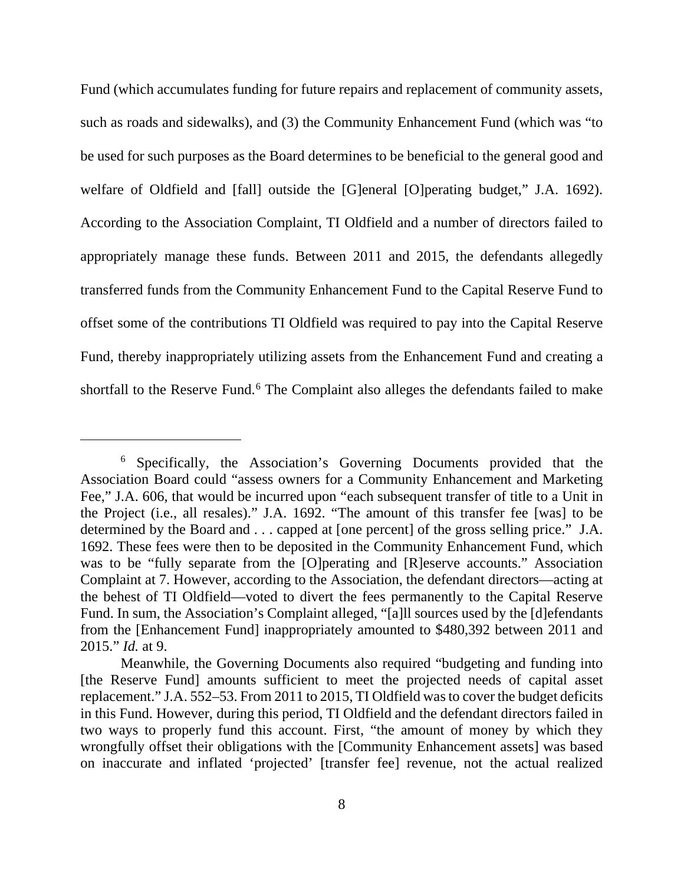Fund (which accumulates funding for future repairs and replacement of community assets, such as roads and sidewalks), and (3) the Community Enhancement Fund (which was "to be used for such purposes as the Board determines to be beneficial to the general good and welfare of Oldfield and [fall] outside the [G]eneral [O]perating budget," J.A. 1692). According to the Association Complaint, TI Oldfield and a number of directors failed to appropriately manage these funds. Between 2011 and 2015, the defendants allegedly transferred funds from the Community Enhancement Fund to the Capital Reserve Fund to offset some of the contributions TI Oldfield was required to pay into the Capital Reserve Fund, thereby inappropriately utilizing assets from the Enhancement Fund and creating a shortfall to the Reserve Fund. [6](#page-7-0) The Complaint also alleges the defendants failed to make

<span id="page-7-0"></span><sup>6</sup> Specifically, the Association's Governing Documents provided that the Association Board could "assess owners for a Community Enhancement and Marketing Fee," J.A. 606, that would be incurred upon "each subsequent transfer of title to a Unit in the Project (i.e., all resales)." J.A. 1692. "The amount of this transfer fee [was] to be determined by the Board and . . . capped at [one percent] of the gross selling price." J.A. 1692. These fees were then to be deposited in the Community Enhancement Fund, which was to be "fully separate from the [O]perating and [R]eserve accounts." Association Complaint at 7. However, according to the Association, the defendant directors—acting at the behest of TI Oldfield—voted to divert the fees permanently to the Capital Reserve Fund. In sum, the Association's Complaint alleged, "[a]ll sources used by the [d]efendants from the [Enhancement Fund] inappropriately amounted to \$480,392 between 2011 and 2015." *Id.* at 9.

Meanwhile, the Governing Documents also required "budgeting and funding into [the Reserve Fund] amounts sufficient to meet the projected needs of capital asset replacement." J.A. 552–53. From 2011 to 2015, TI Oldfield was to cover the budget deficits in this Fund. However, during this period, TI Oldfield and the defendant directors failed in two ways to properly fund this account. First, "the amount of money by which they wrongfully offset their obligations with the [Community Enhancement assets] was based on inaccurate and inflated 'projected' [transfer fee] revenue, not the actual realized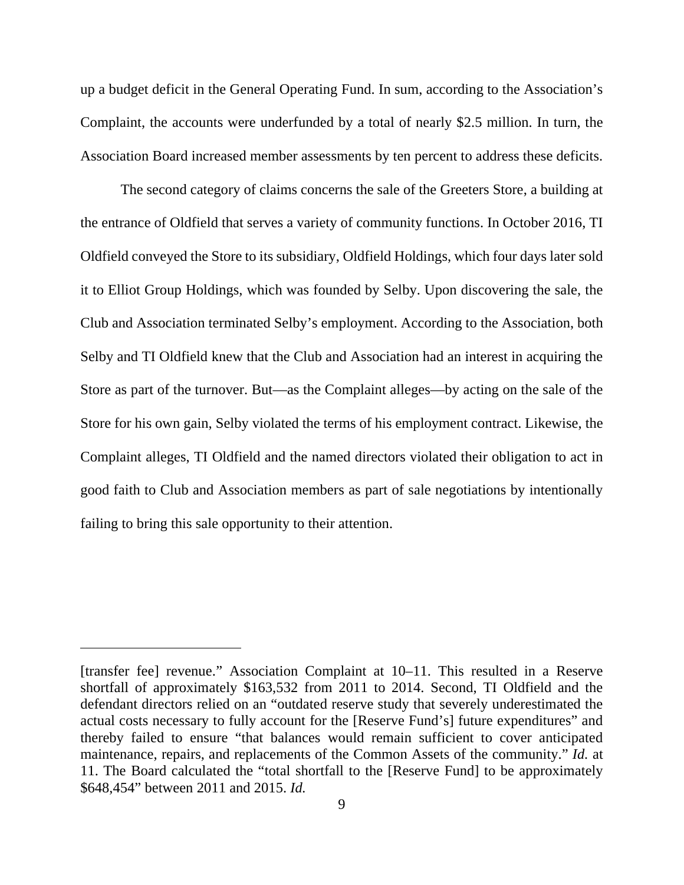up a budget deficit in the General Operating Fund. In sum, according to the Association's Complaint, the accounts were underfunded by a total of nearly \$2.5 million. In turn, the Association Board increased member assessments by ten percent to address these deficits.

The second category of claims concerns the sale of the Greeters Store, a building at the entrance of Oldfield that serves a variety of community functions. In October 2016, TI Oldfield conveyed the Store to its subsidiary, Oldfield Holdings, which four days later sold it to Elliot Group Holdings, which was founded by Selby. Upon discovering the sale, the Club and Association terminated Selby's employment. According to the Association, both Selby and TI Oldfield knew that the Club and Association had an interest in acquiring the Store as part of the turnover. But—as the Complaint alleges—by acting on the sale of the Store for his own gain, Selby violated the terms of his employment contract. Likewise, the Complaint alleges, TI Oldfield and the named directors violated their obligation to act in good faith to Club and Association members as part of sale negotiations by intentionally failing to bring this sale opportunity to their attention.

<sup>[</sup>transfer fee] revenue." Association Complaint at 10–11. This resulted in a Reserve shortfall of approximately \$163,532 from 2011 to 2014. Second, TI Oldfield and the defendant directors relied on an "outdated reserve study that severely underestimated the actual costs necessary to fully account for the [Reserve Fund's] future expenditures" and thereby failed to ensure "that balances would remain sufficient to cover anticipated maintenance, repairs, and replacements of the Common Assets of the community." *Id.* at 11. The Board calculated the "total shortfall to the [Reserve Fund] to be approximately \$648,454" between 2011 and 2015. *Id.*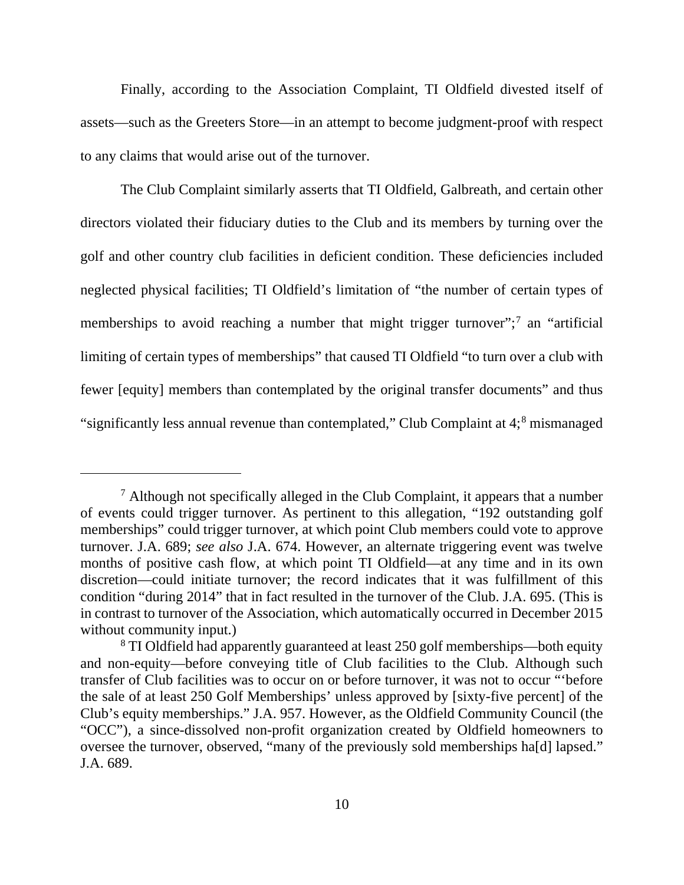Finally, according to the Association Complaint, TI Oldfield divested itself of assets—such as the Greeters Store—in an attempt to become judgment-proof with respect to any claims that would arise out of the turnover.

The Club Complaint similarly asserts that TI Oldfield, Galbreath, and certain other directors violated their fiduciary duties to the Club and its members by turning over the golf and other country club facilities in deficient condition. These deficiencies included neglected physical facilities; TI Oldfield's limitation of "the number of certain types of memberships to avoid reaching a number that might trigger turnover";<sup>[7](#page-9-0)</sup> an "artificial" limiting of certain types of memberships" that caused TI Oldfield "to turn over a club with fewer [equity] members than contemplated by the original transfer documents" and thus "significantly less annual revenue than contemplated," Club Complaint at 4;<sup>[8](#page-9-1)</sup> mismanaged

<span id="page-9-0"></span> $<sup>7</sup>$  Although not specifically alleged in the Club Complaint, it appears that a number</sup> of events could trigger turnover. As pertinent to this allegation, "192 outstanding golf memberships" could trigger turnover, at which point Club members could vote to approve turnover. J.A. 689; *see also* J.A. 674. However, an alternate triggering event was twelve months of positive cash flow, at which point TI Oldfield—at any time and in its own discretion—could initiate turnover; the record indicates that it was fulfillment of this condition "during 2014" that in fact resulted in the turnover of the Club. J.A. 695. (This is in contrast to turnover of the Association, which automatically occurred in December 2015 without community input.)

<span id="page-9-1"></span><sup>8</sup> TI Oldfield had apparently guaranteed at least 250 golf memberships—both equity and non-equity—before conveying title of Club facilities to the Club. Although such transfer of Club facilities was to occur on or before turnover, it was not to occur "'before the sale of at least 250 Golf Memberships' unless approved by [sixty-five percent] of the Club's equity memberships." J.A. 957. However, as the Oldfield Community Council (the "OCC"), a since-dissolved non-profit organization created by Oldfield homeowners to oversee the turnover, observed, "many of the previously sold memberships ha[d] lapsed." J.A. 689.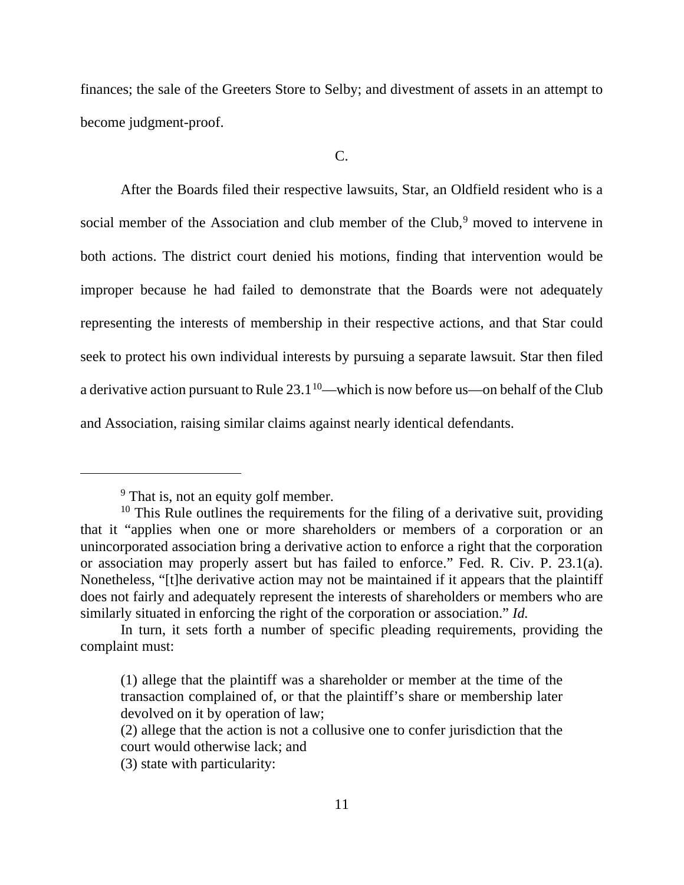finances; the sale of the Greeters Store to Selby; and divestment of assets in an attempt to become judgment-proof.

 $C_{\cdot}$ 

After the Boards filed their respective lawsuits, Star, an Oldfield resident who is a social member of the Association and club member of the Club,<sup>[9](#page-10-0)</sup> moved to intervene in both actions. The district court denied his motions, finding that intervention would be improper because he had failed to demonstrate that the Boards were not adequately representing the interests of membership in their respective actions, and that Star could seek to protect his own individual interests by pursuing a separate lawsuit. Star then filed a derivative action pursuant to Rule  $23.1^{10}$  $23.1^{10}$  $23.1^{10}$ —which is now before us—on behalf of the Club and Association, raising similar claims against nearly identical defendants.

<sup>&</sup>lt;sup>9</sup> That is, not an equity golf member.

<span id="page-10-1"></span><span id="page-10-0"></span> $10$  This Rule outlines the requirements for the filing of a derivative suit, providing that it "applies when one or more shareholders or members of a corporation or an unincorporated association bring a derivative action to enforce a right that the corporation or association may properly assert but has failed to enforce." Fed. R. Civ. P. 23.1(a). Nonetheless, "[t]he derivative action may not be maintained if it appears that the plaintiff does not fairly and adequately represent the interests of shareholders or members who are similarly situated in enforcing the right of the corporation or association." *Id.* 

In turn, it sets forth a number of specific pleading requirements, providing the complaint must:

<sup>(1)</sup> allege that the plaintiff was a shareholder or member at the time of the transaction complained of, or that the plaintiff's share or membership later devolved on it by operation of law;

<sup>(2)</sup> allege that the action is not a collusive one to confer jurisdiction that the court would otherwise lack; and

<sup>(3)</sup> state with particularity: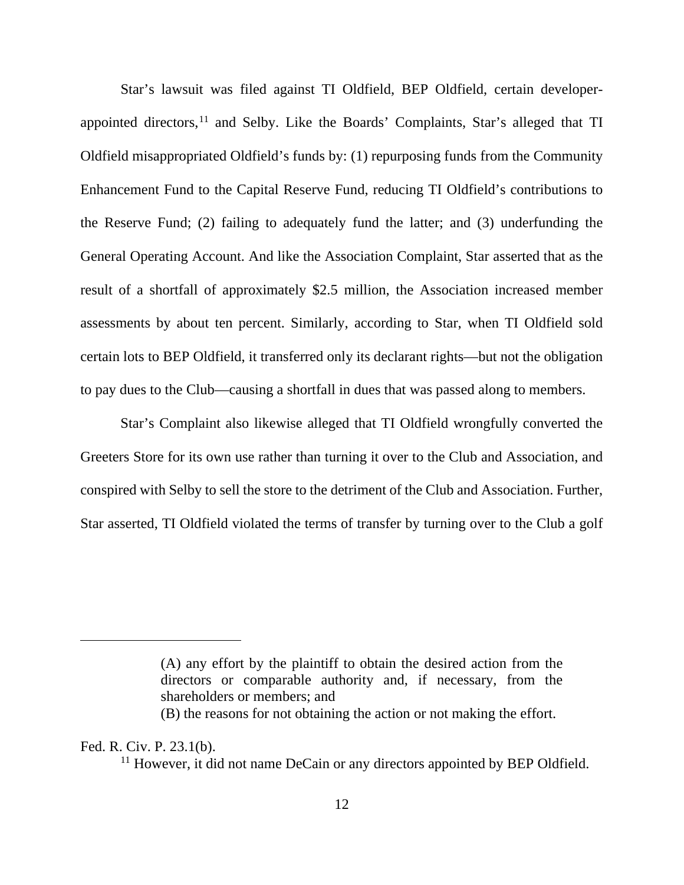Star's lawsuit was filed against TI Oldfield, BEP Oldfield, certain developer-appointed directors,<sup>[11](#page-11-0)</sup> and Selby. Like the Boards' Complaints, Star's alleged that TI Oldfield misappropriated Oldfield's funds by: (1) repurposing funds from the Community Enhancement Fund to the Capital Reserve Fund, reducing TI Oldfield's contributions to the Reserve Fund; (2) failing to adequately fund the latter; and (3) underfunding the General Operating Account. And like the Association Complaint, Star asserted that as the result of a shortfall of approximately \$2.5 million, the Association increased member assessments by about ten percent. Similarly, according to Star, when TI Oldfield sold certain lots to BEP Oldfield, it transferred only its declarant rights—but not the obligation to pay dues to the Club—causing a shortfall in dues that was passed along to members.

Star's Complaint also likewise alleged that TI Oldfield wrongfully converted the Greeters Store for its own use rather than turning it over to the Club and Association, and conspired with Selby to sell the store to the detriment of the Club and Association. Further, Star asserted, TI Oldfield violated the terms of transfer by turning over to the Club a golf

<span id="page-11-0"></span>Fed. R. Civ. P. 23.1(b).

<sup>(</sup>A) any effort by the plaintiff to obtain the desired action from the directors or comparable authority and, if necessary, from the shareholders or members; and

<sup>(</sup>B) the reasons for not obtaining the action or not making the effort.

<sup>&</sup>lt;sup>11</sup> However, it did not name DeCain or any directors appointed by BEP Oldfield.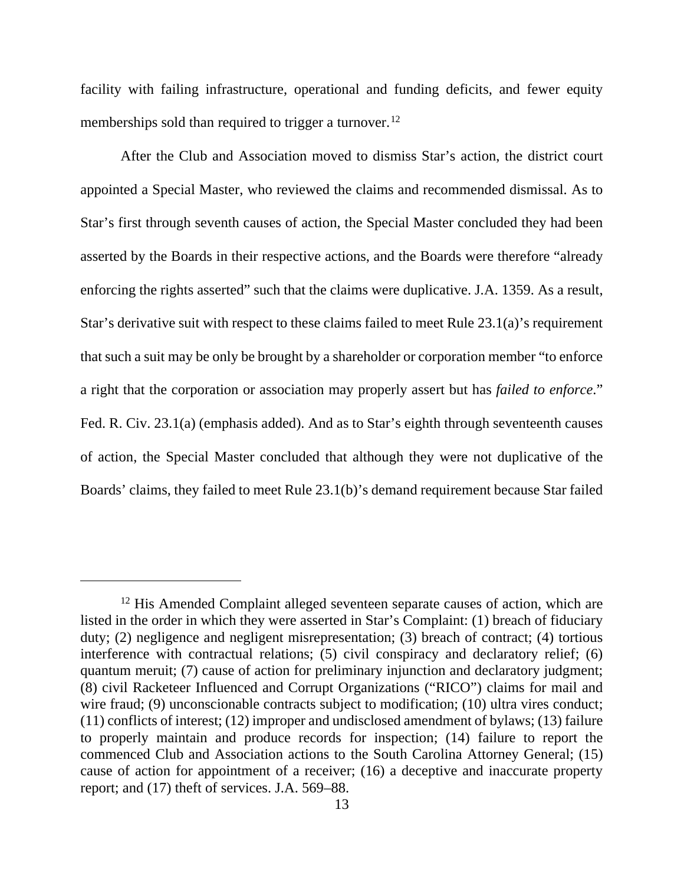facility with failing infrastructure, operational and funding deficits, and fewer equity memberships sold than required to trigger a turnover.<sup>[12](#page-12-0)</sup>

After the Club and Association moved to dismiss Star's action, the district court appointed a Special Master, who reviewed the claims and recommended dismissal. As to Star's first through seventh causes of action, the Special Master concluded they had been asserted by the Boards in their respective actions, and the Boards were therefore "already enforcing the rights asserted" such that the claims were duplicative. J.A. 1359. As a result, Star's derivative suit with respect to these claims failed to meet Rule 23.1(a)'s requirement that such a suit may be only be brought by a shareholder or corporation member "to enforce a right that the corporation or association may properly assert but has *failed to enforce*." Fed. R. Civ. 23.1(a) (emphasis added). And as to Star's eighth through seventeenth causes of action, the Special Master concluded that although they were not duplicative of the Boards' claims, they failed to meet Rule 23.1(b)'s demand requirement because Star failed

<span id="page-12-0"></span><sup>&</sup>lt;sup>12</sup> His Amended Complaint alleged seventeen separate causes of action, which are listed in the order in which they were asserted in Star's Complaint: (1) breach of fiduciary duty; (2) negligence and negligent misrepresentation; (3) breach of contract; (4) tortious interference with contractual relations; (5) civil conspiracy and declaratory relief; (6) quantum meruit; (7) cause of action for preliminary injunction and declaratory judgment; (8) civil Racketeer Influenced and Corrupt Organizations ("RICO") claims for mail and wire fraud; (9) unconscionable contracts subject to modification; (10) ultra vires conduct; (11) conflicts of interest; (12) improper and undisclosed amendment of bylaws; (13) failure to properly maintain and produce records for inspection; (14) failure to report the commenced Club and Association actions to the South Carolina Attorney General; (15) cause of action for appointment of a receiver; (16) a deceptive and inaccurate property report; and (17) theft of services. J.A. 569–88.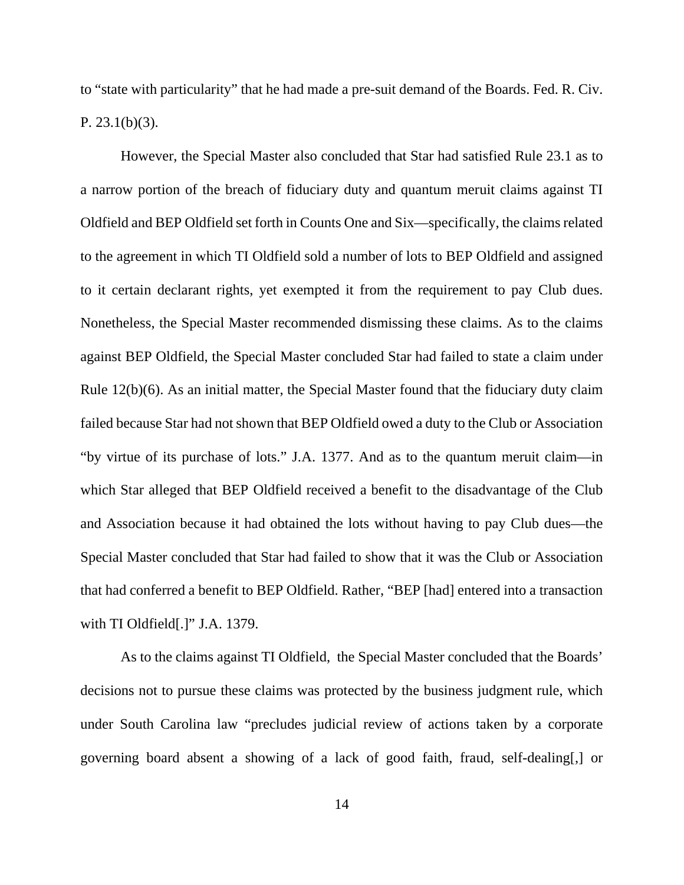to "state with particularity" that he had made a pre-suit demand of the Boards. Fed. R. Civ. P.  $23.1(b)(3)$ .

However, the Special Master also concluded that Star had satisfied Rule 23.1 as to a narrow portion of the breach of fiduciary duty and quantum meruit claims against TI Oldfield and BEP Oldfield set forth in Counts One and Six—specifically, the claims related to the agreement in which TI Oldfield sold a number of lots to BEP Oldfield and assigned to it certain declarant rights, yet exempted it from the requirement to pay Club dues. Nonetheless, the Special Master recommended dismissing these claims. As to the claims against BEP Oldfield, the Special Master concluded Star had failed to state a claim under Rule 12(b)(6). As an initial matter, the Special Master found that the fiduciary duty claim failed because Star had not shown that BEP Oldfield owed a duty to the Club or Association "by virtue of its purchase of lots." J.A. 1377. And as to the quantum meruit claim—in which Star alleged that BEP Oldfield received a benefit to the disadvantage of the Club and Association because it had obtained the lots without having to pay Club dues—the Special Master concluded that Star had failed to show that it was the Club or Association that had conferred a benefit to BEP Oldfield. Rather, "BEP [had] entered into a transaction with TI Oldfield[.]" J.A. 1379.

As to the claims against TI Oldfield, the Special Master concluded that the Boards' decisions not to pursue these claims was protected by the business judgment rule, which under South Carolina law "precludes judicial review of actions taken by a corporate governing board absent a showing of a lack of good faith, fraud, self-dealing[,] or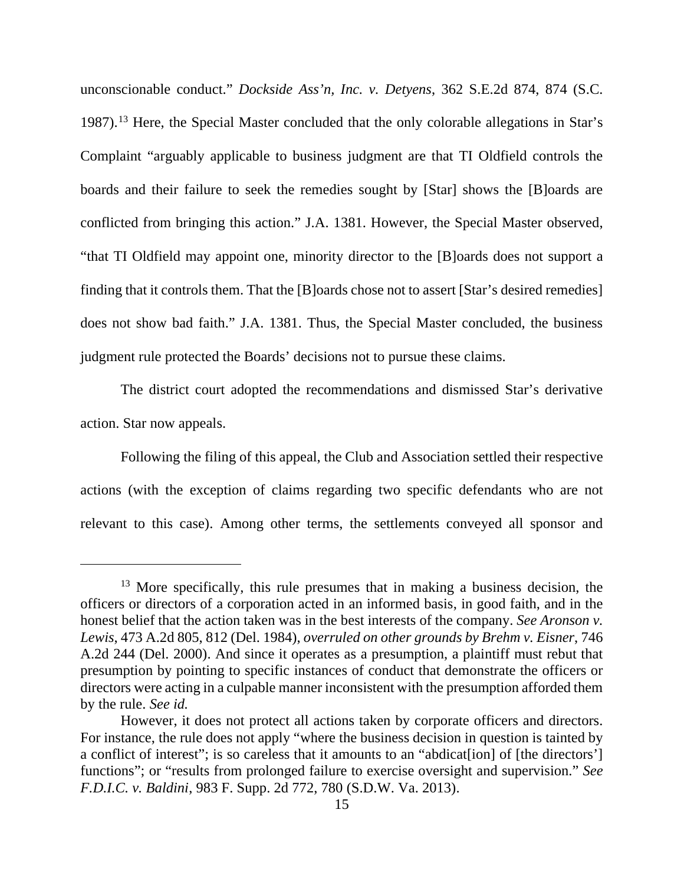unconscionable conduct." *Dockside Ass'n, Inc. v. Detyens*, 362 S.E.2d 874, 874 (S.C. 1987).[13](#page-14-0) Here, the Special Master concluded that the only colorable allegations in Star's Complaint "arguably applicable to business judgment are that TI Oldfield controls the boards and their failure to seek the remedies sought by [Star] shows the [B]oards are conflicted from bringing this action." J.A. 1381. However, the Special Master observed, "that TI Oldfield may appoint one, minority director to the [B]oards does not support a finding that it controls them. That the [B]oards chose not to assert [Star's desired remedies] does not show bad faith." J.A. 1381. Thus, the Special Master concluded, the business judgment rule protected the Boards' decisions not to pursue these claims.

The district court adopted the recommendations and dismissed Star's derivative action. Star now appeals.

Following the filing of this appeal, the Club and Association settled their respective actions (with the exception of claims regarding two specific defendants who are not relevant to this case). Among other terms, the settlements conveyed all sponsor and

<span id="page-14-0"></span> $13$  More specifically, this rule presumes that in making a business decision, the officers or directors of a corporation acted in an informed basis, in good faith, and in the honest belief that the action taken was in the best interests of the company. *See Aronson v. Lewis*, 473 A.2d 805, 812 (Del. 1984), *overruled on other grounds by Brehm v. Eisner*, 746 A.2d 244 (Del. 2000). And since it operates as a presumption, a plaintiff must rebut that presumption by pointing to specific instances of conduct that demonstrate the officers or directors were acting in a culpable manner inconsistent with the presumption afforded them by the rule. *See id.*

However, it does not protect all actions taken by corporate officers and directors. For instance, the rule does not apply "where the business decision in question is tainted by a conflict of interest"; is so careless that it amounts to an "abdicat[ion] of [the directors'] functions"; or "results from prolonged failure to exercise oversight and supervision." *See F.D.I.C. v. Baldini*, 983 F. Supp. 2d 772, 780 (S.D.W. Va. 2013).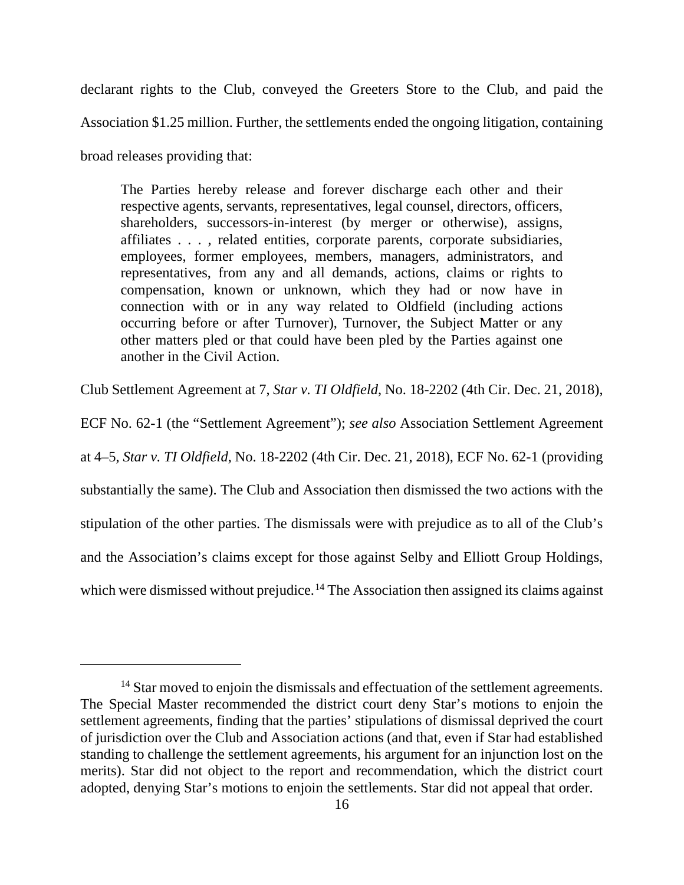declarant rights to the Club, conveyed the Greeters Store to the Club, and paid the Association \$1.25 million. Further, the settlements ended the ongoing litigation, containing broad releases providing that:

The Parties hereby release and forever discharge each other and their respective agents, servants, representatives, legal counsel, directors, officers, shareholders, successors-in-interest (by merger or otherwise), assigns, affiliates . . . , related entities, corporate parents, corporate subsidiaries, employees, former employees, members, managers, administrators, and representatives, from any and all demands, actions, claims or rights to compensation, known or unknown, which they had or now have in connection with or in any way related to Oldfield (including actions occurring before or after Turnover), Turnover, the Subject Matter or any other matters pled or that could have been pled by the Parties against one another in the Civil Action.

Club Settlement Agreement at 7, *Star v. TI Oldfield*, No. 18-2202 (4th Cir. Dec. 21, 2018),

ECF No. 62-1 (the "Settlement Agreement"); *see also* Association Settlement Agreement at 4–5, *Star v. TI Oldfield*, No. 18-2202 (4th Cir. Dec. 21, 2018), ECF No. 62-1 (providing substantially the same). The Club and Association then dismissed the two actions with the stipulation of the other parties. The dismissals were with prejudice as to all of the Club's

and the Association's claims except for those against Selby and Elliott Group Holdings,

which were dismissed without prejudice.<sup>[14](#page-15-0)</sup> The Association then assigned its claims against

<span id="page-15-0"></span><sup>&</sup>lt;sup>14</sup> Star moved to enjoin the dismissals and effectuation of the settlement agreements. The Special Master recommended the district court deny Star's motions to enjoin the settlement agreements, finding that the parties' stipulations of dismissal deprived the court of jurisdiction over the Club and Association actions (and that, even if Star had established standing to challenge the settlement agreements, his argument for an injunction lost on the merits). Star did not object to the report and recommendation, which the district court adopted, denying Star's motions to enjoin the settlements. Star did not appeal that order.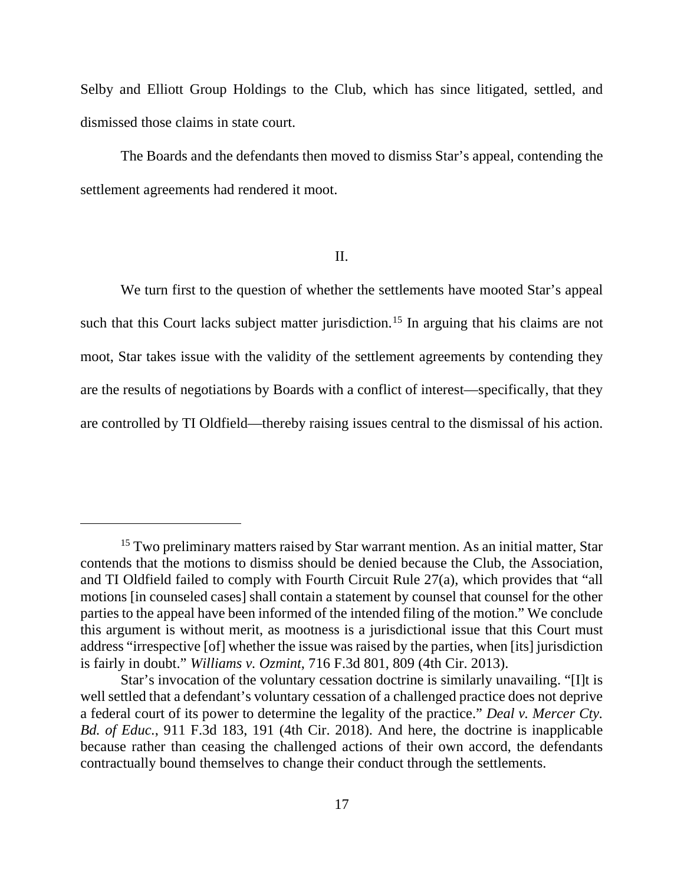Selby and Elliott Group Holdings to the Club, which has since litigated, settled, and dismissed those claims in state court.

The Boards and the defendants then moved to dismiss Star's appeal, contending the settlement agreements had rendered it moot.

II.

We turn first to the question of whether the settlements have mooted Star's appeal such that this Court lacks subject matter jurisdiction.<sup>[15](#page-16-0)</sup> In arguing that his claims are not moot, Star takes issue with the validity of the settlement agreements by contending they are the results of negotiations by Boards with a conflict of interest—specifically, that they are controlled by TI Oldfield—thereby raising issues central to the dismissal of his action.

<span id="page-16-0"></span><sup>&</sup>lt;sup>15</sup> Two preliminary matters raised by Star warrant mention. As an initial matter, Star contends that the motions to dismiss should be denied because the Club, the Association, and TI Oldfield failed to comply with Fourth Circuit Rule 27(a), which provides that "all motions [in counseled cases] shall contain a statement by counsel that counsel for the other parties to the appeal have been informed of the intended filing of the motion." We conclude this argument is without merit, as mootness is a jurisdictional issue that this Court must address "irrespective [of] whether the issue was raised by the parties, when [its] jurisdiction is fairly in doubt." *Williams v. Ozmint*, 716 F.3d 801, 809 (4th Cir. 2013).

Star's invocation of the voluntary cessation doctrine is similarly unavailing. "[I]t is well settled that a defendant's voluntary cessation of a challenged practice does not deprive a federal court of its power to determine the legality of the practice." *Deal v. Mercer Cty. Bd. of Educ.*, 911 F.3d 183, 191 (4th Cir. 2018). And here, the doctrine is inapplicable because rather than ceasing the challenged actions of their own accord, the defendants contractually bound themselves to change their conduct through the settlements.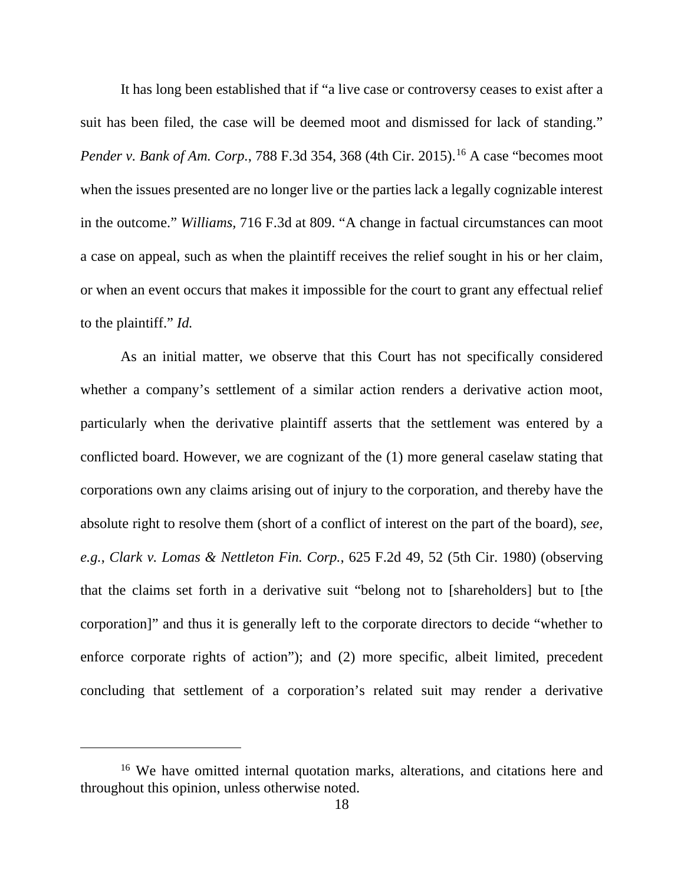It has long been established that if "a live case or controversy ceases to exist after a suit has been filed, the case will be deemed moot and dismissed for lack of standing." *Pender v. Bank of Am. Corp.*, 788 F.3d 354, 368 (4th Cir. 2015).<sup>[16](#page-17-0)</sup> A case "becomes moot when the issues presented are no longer live or the parties lack a legally cognizable interest in the outcome." *Williams,* 716 F.3d at 809. "A change in factual circumstances can moot a case on appeal, such as when the plaintiff receives the relief sought in his or her claim, or when an event occurs that makes it impossible for the court to grant any effectual relief to the plaintiff." *Id.* 

As an initial matter, we observe that this Court has not specifically considered whether a company's settlement of a similar action renders a derivative action moot, particularly when the derivative plaintiff asserts that the settlement was entered by a conflicted board. However, we are cognizant of the (1) more general caselaw stating that corporations own any claims arising out of injury to the corporation, and thereby have the absolute right to resolve them (short of a conflict of interest on the part of the board), *see, e.g.*, *Clark v. Lomas & Nettleton Fin. Corp.*, 625 F.2d 49, 52 (5th Cir. 1980) (observing that the claims set forth in a derivative suit "belong not to [shareholders] but to [the corporation]" and thus it is generally left to the corporate directors to decide "whether to enforce corporate rights of action"); and (2) more specific, albeit limited, precedent concluding that settlement of a corporation's related suit may render a derivative

<span id="page-17-0"></span><sup>16</sup> We have omitted internal quotation marks, alterations, and citations here and throughout this opinion, unless otherwise noted.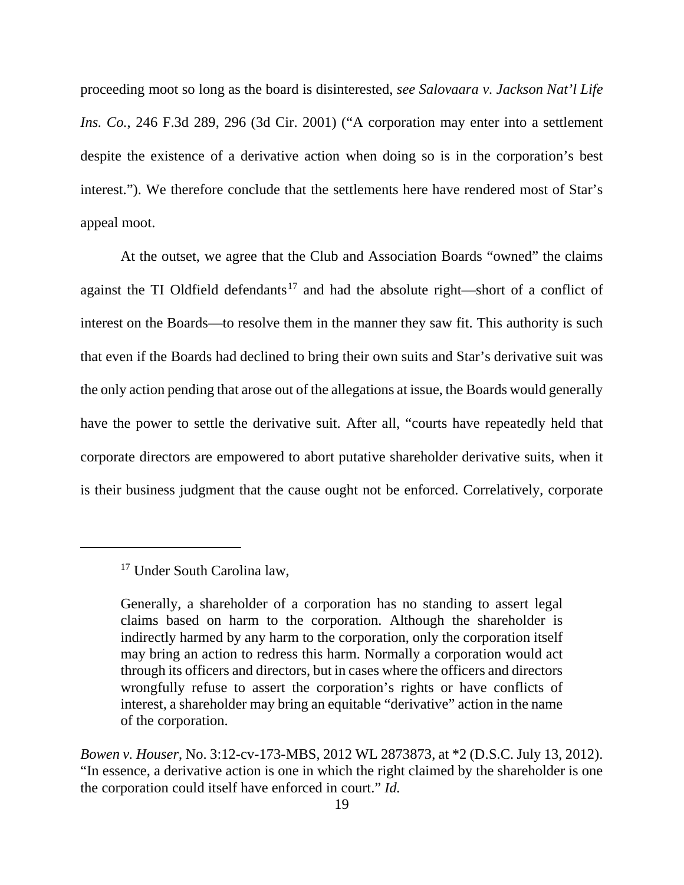proceeding moot so long as the board is disinterested, *see Salovaara v. Jackson Nat'l Life Ins. Co.*, 246 F.3d 289, 296 (3d Cir. 2001) ("A corporation may enter into a settlement despite the existence of a derivative action when doing so is in the corporation's best interest."). We therefore conclude that the settlements here have rendered most of Star's appeal moot.

At the outset, we agree that the Club and Association Boards "owned" the claims against the TI Oldfield defendants<sup>[17](#page-18-0)</sup> and had the absolute right—short of a conflict of interest on the Boards—to resolve them in the manner they saw fit. This authority is such that even if the Boards had declined to bring their own suits and Star's derivative suit was the only action pending that arose out of the allegations at issue, the Boards would generally have the power to settle the derivative suit. After all, "courts have repeatedly held that corporate directors are empowered to abort putative shareholder derivative suits, when it is their business judgment that the cause ought not be enforced. Correlatively, corporate

<span id="page-18-0"></span><sup>&</sup>lt;sup>17</sup> Under South Carolina law,

Generally, a shareholder of a corporation has no standing to assert legal claims based on harm to the corporation. Although the shareholder is indirectly harmed by any harm to the corporation, only the corporation itself may bring an action to redress this harm. Normally a corporation would act through its officers and directors, but in cases where the officers and directors wrongfully refuse to assert the corporation's rights or have conflicts of interest, a shareholder may bring an equitable "derivative" action in the name of the corporation.

*Bowen v. Houser*, No. 3:12-cv-173-MBS, 2012 WL 2873873, at \*2 (D.S.C. July 13, 2012). "In essence, a derivative action is one in which the right claimed by the shareholder is one the corporation could itself have enforced in court." *Id.*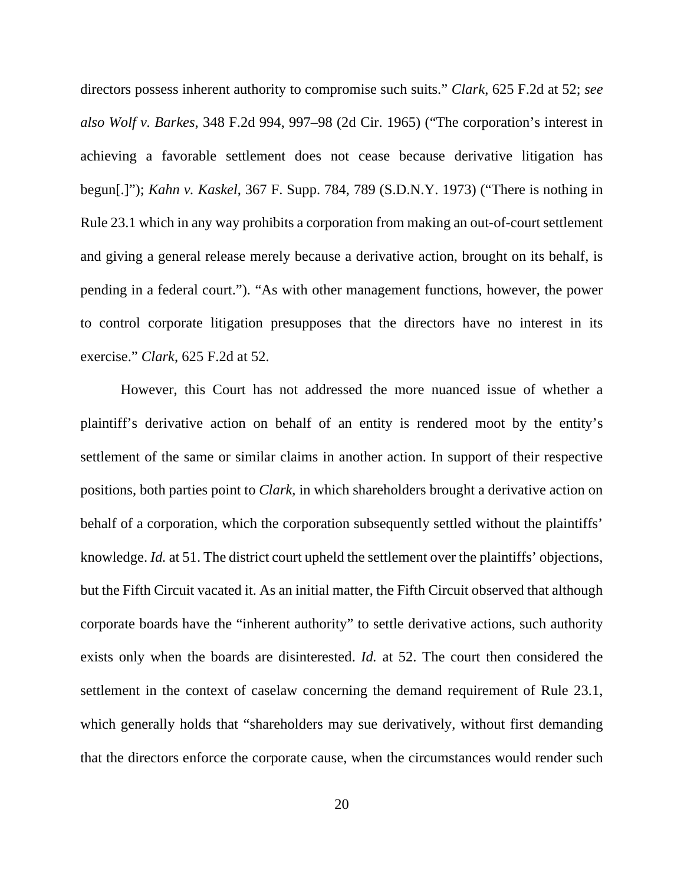directors possess inherent authority to compromise such suits." *Clark*, 625 F.2d at 52; *see also Wolf v. Barkes*, 348 F.2d 994, 997–98 (2d Cir. 1965) ("The corporation's interest in achieving a favorable settlement does not cease because derivative litigation has begun[.]"); *Kahn v. Kaskel*, 367 F. Supp. 784, 789 (S.D.N.Y. 1973) ("There is nothing in Rule 23.1 which in any way prohibits a corporation from making an out-of-court settlement and giving a general release merely because a derivative action, brought on its behalf, is pending in a federal court."). "As with other management functions, however, the power to control corporate litigation presupposes that the directors have no interest in its exercise." *Clark*, 625 F.2d at 52.

However, this Court has not addressed the more nuanced issue of whether a plaintiff's derivative action on behalf of an entity is rendered moot by the entity's settlement of the same or similar claims in another action. In support of their respective positions, both parties point to *Clark*, in which shareholders brought a derivative action on behalf of a corporation, which the corporation subsequently settled without the plaintiffs' knowledge. *Id.* at 51. The district court upheld the settlement over the plaintiffs' objections, but the Fifth Circuit vacated it. As an initial matter, the Fifth Circuit observed that although corporate boards have the "inherent authority" to settle derivative actions, such authority exists only when the boards are disinterested. *Id.* at 52. The court then considered the settlement in the context of caselaw concerning the demand requirement of Rule 23.1, which generally holds that "shareholders may sue derivatively, without first demanding that the directors enforce the corporate cause, when the circumstances would render such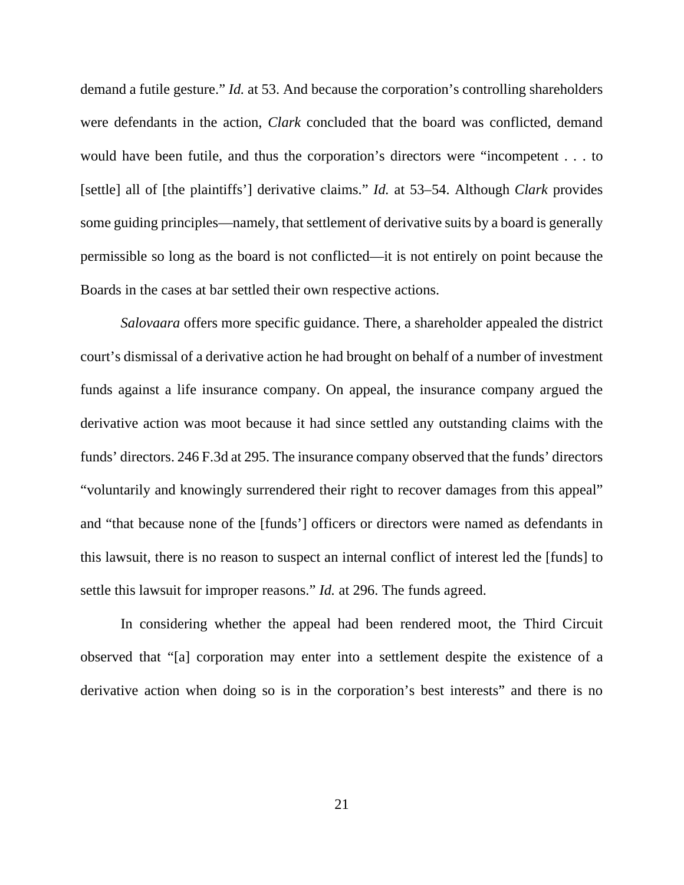demand a futile gesture." *Id.* at 53. And because the corporation's controlling shareholders were defendants in the action, *Clark* concluded that the board was conflicted, demand would have been futile, and thus the corporation's directors were "incompetent . . . to [settle] all of [the plaintiffs'] derivative claims." *Id.* at 53–54. Although *Clark* provides some guiding principles—namely, that settlement of derivative suits by a board is generally permissible so long as the board is not conflicted—it is not entirely on point because the Boards in the cases at bar settled their own respective actions.

*Salovaara* offers more specific guidance. There, a shareholder appealed the district court's dismissal of a derivative action he had brought on behalf of a number of investment funds against a life insurance company. On appeal, the insurance company argued the derivative action was moot because it had since settled any outstanding claims with the funds' directors. 246 F.3d at 295. The insurance company observed that the funds' directors "voluntarily and knowingly surrendered their right to recover damages from this appeal" and "that because none of the [funds'] officers or directors were named as defendants in this lawsuit, there is no reason to suspect an internal conflict of interest led the [funds] to settle this lawsuit for improper reasons." *Id.* at 296. The funds agreed.

In considering whether the appeal had been rendered moot, the Third Circuit observed that "[a] corporation may enter into a settlement despite the existence of a derivative action when doing so is in the corporation's best interests" and there is no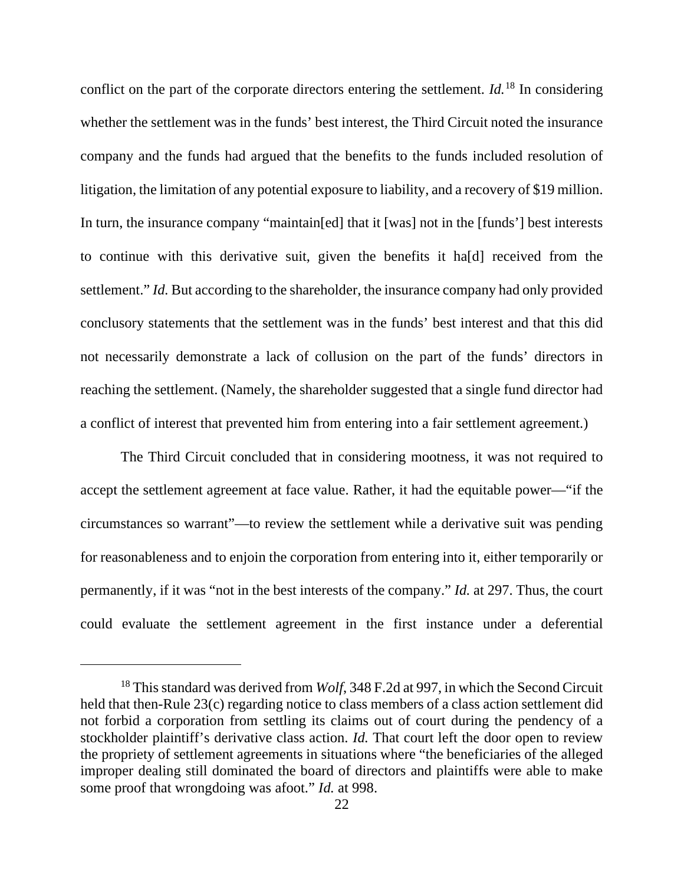conflict on the part of the corporate directors entering the settlement. *Id.*[18](#page-21-0) In considering whether the settlement was in the funds' best interest, the Third Circuit noted the insurance company and the funds had argued that the benefits to the funds included resolution of litigation, the limitation of any potential exposure to liability, and a recovery of \$19 million. In turn, the insurance company "maintain[ed] that it [was] not in the [funds'] best interests to continue with this derivative suit, given the benefits it ha[d] received from the settlement." *Id.* But according to the shareholder, the insurance company had only provided conclusory statements that the settlement was in the funds' best interest and that this did not necessarily demonstrate a lack of collusion on the part of the funds' directors in reaching the settlement. (Namely, the shareholder suggested that a single fund director had a conflict of interest that prevented him from entering into a fair settlement agreement.)

The Third Circuit concluded that in considering mootness, it was not required to accept the settlement agreement at face value. Rather, it had the equitable power—"if the circumstances so warrant"—to review the settlement while a derivative suit was pending for reasonableness and to enjoin the corporation from entering into it, either temporarily or permanently, if it was "not in the best interests of the company." *Id.* at 297. Thus, the court could evaluate the settlement agreement in the first instance under a deferential

<span id="page-21-0"></span><sup>&</sup>lt;sup>18</sup> This standard was derived from *Wolf*, 348 F.2d at 997, in which the Second Circuit held that then-Rule 23(c) regarding notice to class members of a class action settlement did not forbid a corporation from settling its claims out of court during the pendency of a stockholder plaintiff's derivative class action. *Id.* That court left the door open to review the propriety of settlement agreements in situations where "the beneficiaries of the alleged improper dealing still dominated the board of directors and plaintiffs were able to make some proof that wrongdoing was afoot." *Id.* at 998.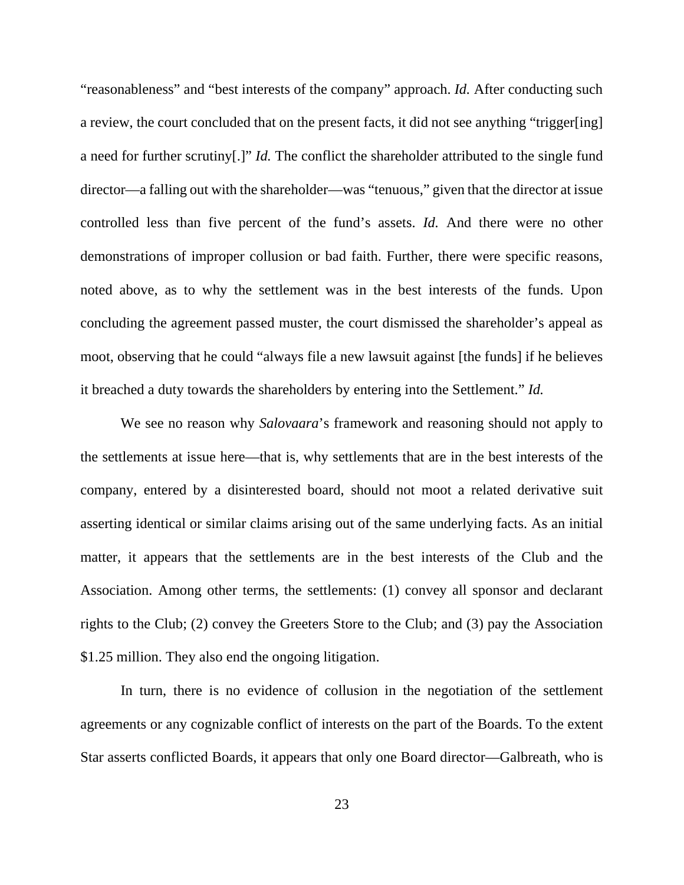"reasonableness" and "best interests of the company" approach. *Id.* After conducting such a review, the court concluded that on the present facts, it did not see anything "trigger[ing] a need for further scrutiny[.]" *Id.* The conflict the shareholder attributed to the single fund director—a falling out with the shareholder—was "tenuous," given that the director at issue controlled less than five percent of the fund's assets. *Id.* And there were no other demonstrations of improper collusion or bad faith. Further, there were specific reasons, noted above, as to why the settlement was in the best interests of the funds. Upon concluding the agreement passed muster, the court dismissed the shareholder's appeal as moot, observing that he could "always file a new lawsuit against [the funds] if he believes it breached a duty towards the shareholders by entering into the Settlement." *Id.*

We see no reason why *Salovaara*'s framework and reasoning should not apply to the settlements at issue here—that is, why settlements that are in the best interests of the company, entered by a disinterested board, should not moot a related derivative suit asserting identical or similar claims arising out of the same underlying facts. As an initial matter, it appears that the settlements are in the best interests of the Club and the Association. Among other terms, the settlements: (1) convey all sponsor and declarant rights to the Club; (2) convey the Greeters Store to the Club; and (3) pay the Association \$1.25 million. They also end the ongoing litigation.

In turn, there is no evidence of collusion in the negotiation of the settlement agreements or any cognizable conflict of interests on the part of the Boards. To the extent Star asserts conflicted Boards, it appears that only one Board director—Galbreath, who is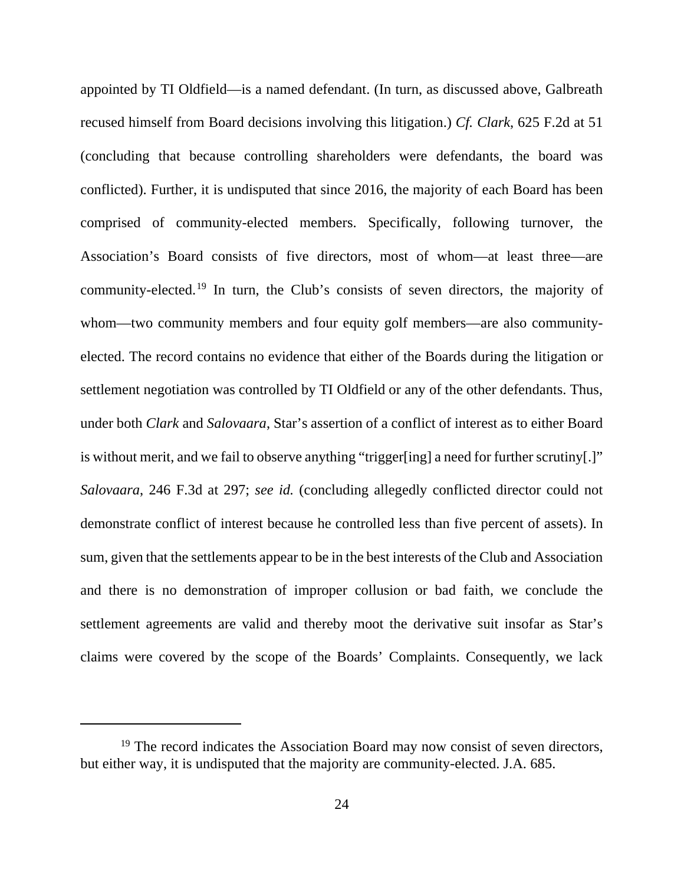appointed by TI Oldfield—is a named defendant. (In turn, as discussed above, Galbreath recused himself from Board decisions involving this litigation.) *Cf. Clark*, 625 F.2d at 51 (concluding that because controlling shareholders were defendants, the board was conflicted). Further, it is undisputed that since 2016, the majority of each Board has been comprised of community-elected members. Specifically, following turnover, the Association's Board consists of five directors, most of whom—at least three—are community-elected.[19](#page-23-0) In turn, the Club's consists of seven directors, the majority of whom—two community members and four equity golf members—are also communityelected. The record contains no evidence that either of the Boards during the litigation or settlement negotiation was controlled by TI Oldfield or any of the other defendants. Thus, under both *Clark* and *Salovaara*, Star's assertion of a conflict of interest as to either Board is without merit, and we fail to observe anything "trigger[ing] a need for further scrutiny[.]" *Salovaara*, 246 F.3d at 297; *see id.* (concluding allegedly conflicted director could not demonstrate conflict of interest because he controlled less than five percent of assets). In sum, given that the settlements appear to be in the best interests of the Club and Association and there is no demonstration of improper collusion or bad faith, we conclude the settlement agreements are valid and thereby moot the derivative suit insofar as Star's claims were covered by the scope of the Boards' Complaints. Consequently, we lack

<span id="page-23-0"></span> $19$  The record indicates the Association Board may now consist of seven directors, but either way, it is undisputed that the majority are community-elected. J.A. 685.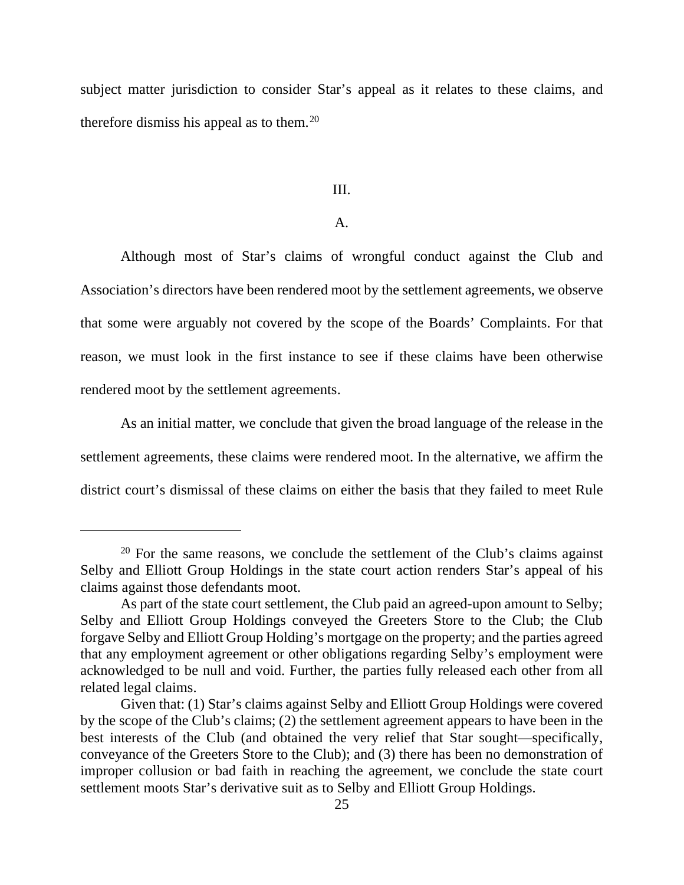subject matter jurisdiction to consider Star's appeal as it relates to these claims, and therefore dismiss his appeal as to them.<sup>[20](#page-24-0)</sup>

#### III.

## A.

Although most of Star's claims of wrongful conduct against the Club and Association's directors have been rendered moot by the settlement agreements, we observe that some were arguably not covered by the scope of the Boards' Complaints. For that reason, we must look in the first instance to see if these claims have been otherwise rendered moot by the settlement agreements.

As an initial matter, we conclude that given the broad language of the release in the settlement agreements, these claims were rendered moot. In the alternative, we affirm the district court's dismissal of these claims on either the basis that they failed to meet Rule

<span id="page-24-0"></span> $20$  For the same reasons, we conclude the settlement of the Club's claims against Selby and Elliott Group Holdings in the state court action renders Star's appeal of his claims against those defendants moot.

As part of the state court settlement, the Club paid an agreed-upon amount to Selby; Selby and Elliott Group Holdings conveyed the Greeters Store to the Club; the Club forgave Selby and Elliott Group Holding's mortgage on the property; and the parties agreed that any employment agreement or other obligations regarding Selby's employment were acknowledged to be null and void. Further, the parties fully released each other from all related legal claims.

Given that: (1) Star's claims against Selby and Elliott Group Holdings were covered by the scope of the Club's claims; (2) the settlement agreement appears to have been in the best interests of the Club (and obtained the very relief that Star sought—specifically, conveyance of the Greeters Store to the Club); and (3) there has been no demonstration of improper collusion or bad faith in reaching the agreement, we conclude the state court settlement moots Star's derivative suit as to Selby and Elliott Group Holdings.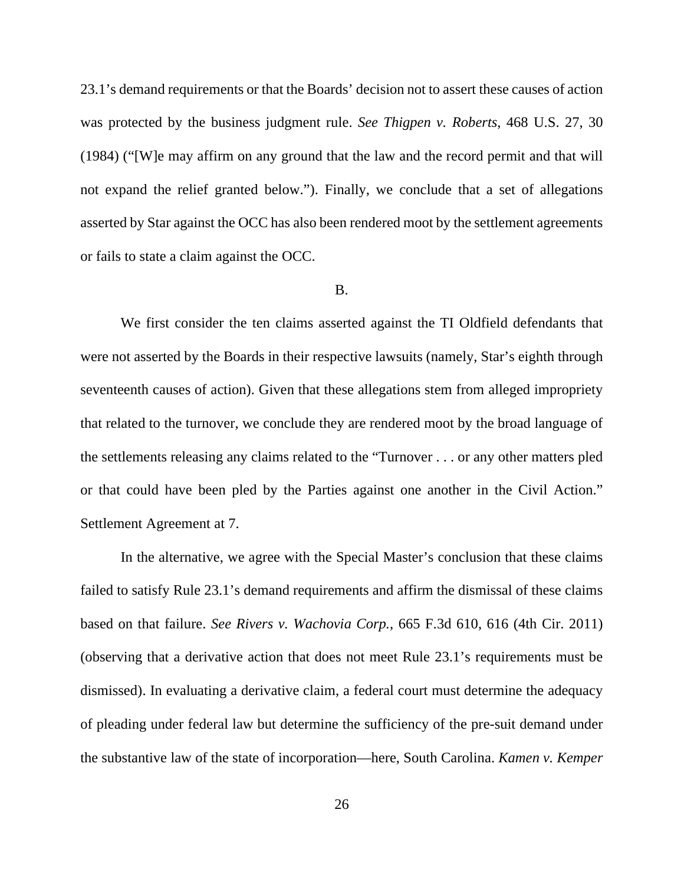23.1's demand requirements or that the Boards' decision not to assert these causes of action was protected by the business judgment rule. *See Thigpen v. Roberts*, 468 U.S. 27, 30 (1984) ("[W]e may affirm on any ground that the law and the record permit and that will not expand the relief granted below."). Finally, we conclude that a set of allegations asserted by Star against the OCC has also been rendered moot by the settlement agreements or fails to state a claim against the OCC.

### B.

We first consider the ten claims asserted against the TI Oldfield defendants that were not asserted by the Boards in their respective lawsuits (namely, Star's eighth through seventeenth causes of action). Given that these allegations stem from alleged impropriety that related to the turnover, we conclude they are rendered moot by the broad language of the settlements releasing any claims related to the "Turnover . . . or any other matters pled or that could have been pled by the Parties against one another in the Civil Action." Settlement Agreement at 7.

In the alternative, we agree with the Special Master's conclusion that these claims failed to satisfy Rule 23.1's demand requirements and affirm the dismissal of these claims based on that failure. *See Rivers v. Wachovia Corp.*, 665 F.3d 610, 616 (4th Cir. 2011) (observing that a derivative action that does not meet Rule 23.1's requirements must be dismissed). In evaluating a derivative claim, a federal court must determine the adequacy of pleading under federal law but determine the sufficiency of the pre-suit demand under the substantive law of the state of incorporation—here, South Carolina. *Kamen v. Kemper*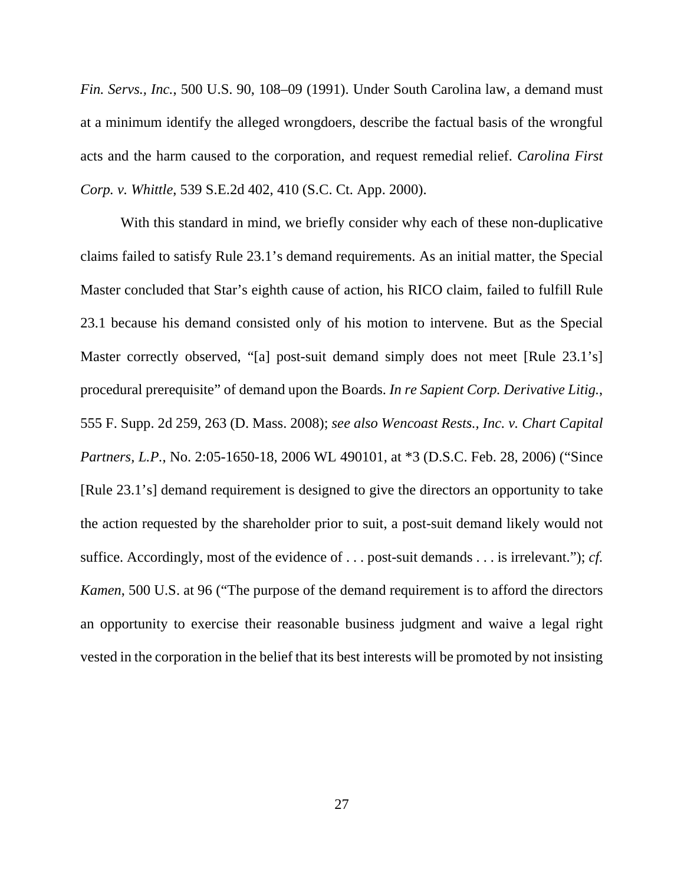*Fin. Servs., Inc.*, 500 U.S. 90, 108–09 (1991). Under South Carolina law, a demand must at a minimum identify the alleged wrongdoers, describe the factual basis of the wrongful acts and the harm caused to the corporation, and request remedial relief. *Carolina First Corp. v. Whittle*, 539 S.E.2d 402, 410 (S.C. Ct. App. 2000).

With this standard in mind, we briefly consider why each of these non-duplicative claims failed to satisfy Rule 23.1's demand requirements. As an initial matter, the Special Master concluded that Star's eighth cause of action, his RICO claim, failed to fulfill Rule 23.1 because his demand consisted only of his motion to intervene. But as the Special Master correctly observed, "[a] post-suit demand simply does not meet [Rule 23.1's] procedural prerequisite" of demand upon the Boards. *In re Sapient Corp. Derivative Litig.*, 555 F. Supp. 2d 259, 263 (D. Mass. 2008); *see also Wencoast Rests., Inc. v. Chart Capital Partners, L.P.*, No. 2:05-1650-18, 2006 WL 490101, at \*3 (D.S.C. Feb. 28, 2006) ("Since [Rule 23.1's] demand requirement is designed to give the directors an opportunity to take the action requested by the shareholder prior to suit, a post-suit demand likely would not suffice. Accordingly, most of the evidence of . . . post-suit demands . . . is irrelevant."); *cf. Kamen*, 500 U.S. at 96 ("The purpose of the demand requirement is to afford the directors an opportunity to exercise their reasonable business judgment and waive a legal right vested in the corporation in the belief that its best interests will be promoted by not insisting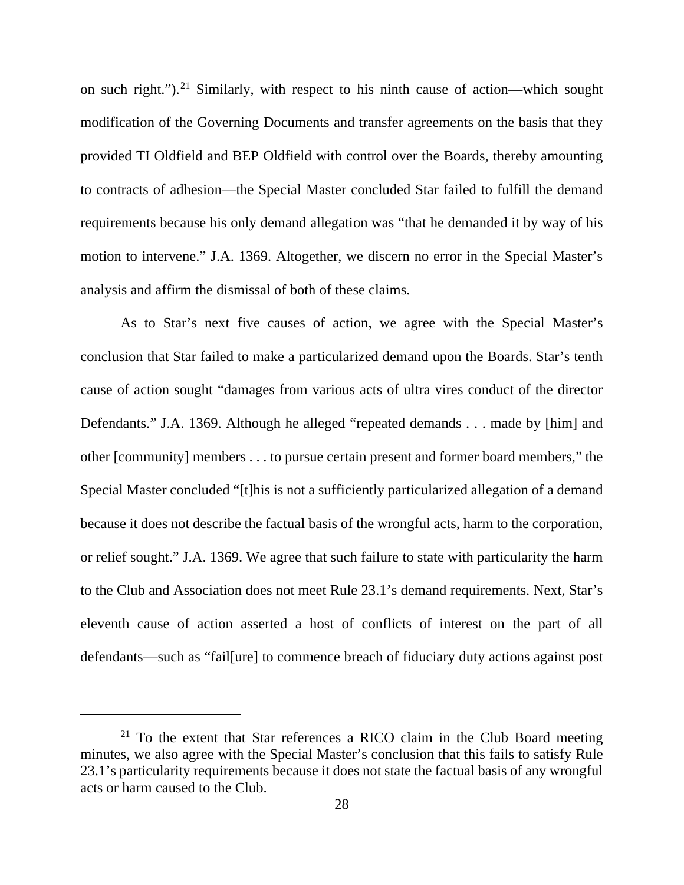on such right."). [21](#page-27-0) Similarly, with respect to his ninth cause of action—which sought modification of the Governing Documents and transfer agreements on the basis that they provided TI Oldfield and BEP Oldfield with control over the Boards, thereby amounting to contracts of adhesion—the Special Master concluded Star failed to fulfill the demand requirements because his only demand allegation was "that he demanded it by way of his motion to intervene." J.A. 1369. Altogether, we discern no error in the Special Master's analysis and affirm the dismissal of both of these claims.

As to Star's next five causes of action, we agree with the Special Master's conclusion that Star failed to make a particularized demand upon the Boards. Star's tenth cause of action sought "damages from various acts of ultra vires conduct of the director Defendants." J.A. 1369. Although he alleged "repeated demands . . . made by [him] and other [community] members . . . to pursue certain present and former board members," the Special Master concluded "[t]his is not a sufficiently particularized allegation of a demand because it does not describe the factual basis of the wrongful acts, harm to the corporation, or relief sought." J.A. 1369. We agree that such failure to state with particularity the harm to the Club and Association does not meet Rule 23.1's demand requirements. Next, Star's eleventh cause of action asserted a host of conflicts of interest on the part of all defendants—such as "fail[ure] to commence breach of fiduciary duty actions against post

<span id="page-27-0"></span> $21$  To the extent that Star references a RICO claim in the Club Board meeting minutes, we also agree with the Special Master's conclusion that this fails to satisfy Rule 23.1's particularity requirements because it does not state the factual basis of any wrongful acts or harm caused to the Club.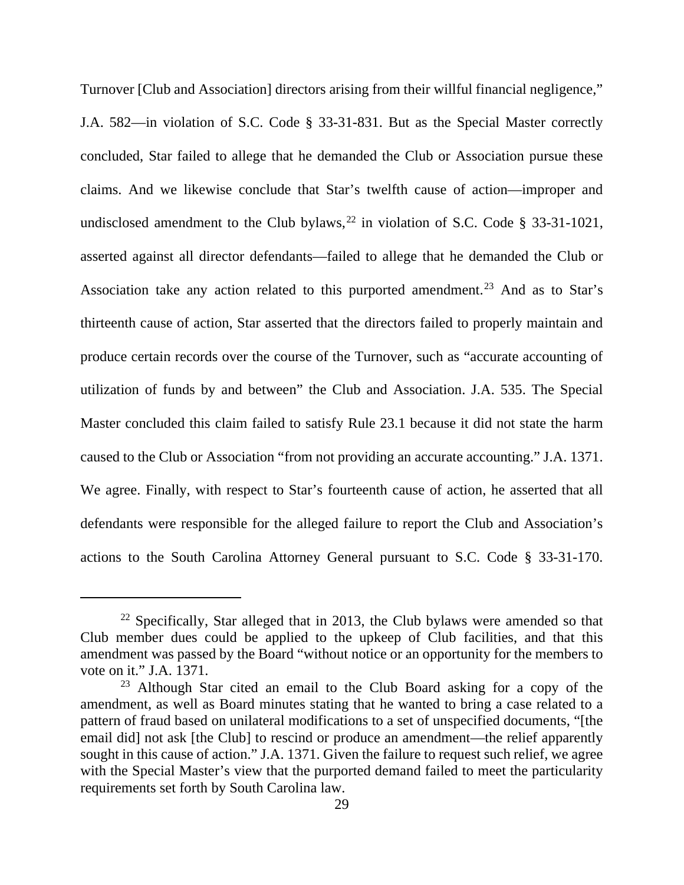Turnover [Club and Association] directors arising from their willful financial negligence," J.A. 582—in violation of S.C. Code § 33-31-831. But as the Special Master correctly concluded, Star failed to allege that he demanded the Club or Association pursue these claims. And we likewise conclude that Star's twelfth cause of action—improper and undisclosed amendment to the Club bylaws,  $^{22}$  $^{22}$  $^{22}$  in violation of S.C. Code § 33-31-1021, asserted against all director defendants—failed to allege that he demanded the Club or Association take any action related to this purported amendment. [23](#page-28-1) And as to Star's thirteenth cause of action, Star asserted that the directors failed to properly maintain and produce certain records over the course of the Turnover, such as "accurate accounting of utilization of funds by and between" the Club and Association. J.A. 535. The Special Master concluded this claim failed to satisfy Rule 23.1 because it did not state the harm caused to the Club or Association "from not providing an accurate accounting." J.A. 1371. We agree. Finally, with respect to Star's fourteenth cause of action, he asserted that all defendants were responsible for the alleged failure to report the Club and Association's actions to the South Carolina Attorney General pursuant to S.C. Code § 33-31-170.

<span id="page-28-0"></span> $22$  Specifically, Star alleged that in 2013, the Club bylaws were amended so that Club member dues could be applied to the upkeep of Club facilities, and that this amendment was passed by the Board "without notice or an opportunity for the members to vote on it." J.A. 1371.

<span id="page-28-1"></span><sup>&</sup>lt;sup>23</sup> Although Star cited an email to the Club Board asking for a copy of the amendment, as well as Board minutes stating that he wanted to bring a case related to a pattern of fraud based on unilateral modifications to a set of unspecified documents, "[the email did] not ask [the Club] to rescind or produce an amendment—the relief apparently sought in this cause of action." J.A. 1371. Given the failure to request such relief, we agree with the Special Master's view that the purported demand failed to meet the particularity requirements set forth by South Carolina law.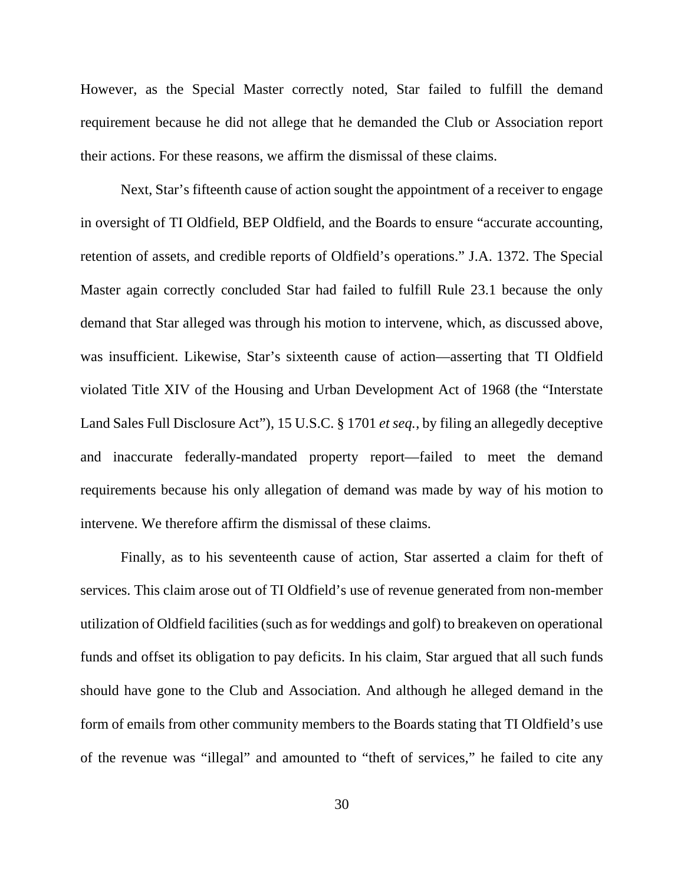However, as the Special Master correctly noted, Star failed to fulfill the demand requirement because he did not allege that he demanded the Club or Association report their actions. For these reasons, we affirm the dismissal of these claims.

Next, Star's fifteenth cause of action sought the appointment of a receiver to engage in oversight of TI Oldfield, BEP Oldfield, and the Boards to ensure "accurate accounting, retention of assets, and credible reports of Oldfield's operations." J.A. 1372. The Special Master again correctly concluded Star had failed to fulfill Rule 23.1 because the only demand that Star alleged was through his motion to intervene, which, as discussed above, was insufficient. Likewise, Star's sixteenth cause of action—asserting that TI Oldfield violated Title XIV of the Housing and Urban Development Act of 1968 (the "Interstate Land Sales Full Disclosure Act"), 15 U.S.C. § 1701 *et seq.*, by filing an allegedly deceptive and inaccurate federally-mandated property report—failed to meet the demand requirements because his only allegation of demand was made by way of his motion to intervene. We therefore affirm the dismissal of these claims.

Finally, as to his seventeenth cause of action, Star asserted a claim for theft of services. This claim arose out of TI Oldfield's use of revenue generated from non-member utilization of Oldfield facilities (such as for weddings and golf) to breakeven on operational funds and offset its obligation to pay deficits. In his claim, Star argued that all such funds should have gone to the Club and Association. And although he alleged demand in the form of emails from other community members to the Boards stating that TI Oldfield's use of the revenue was "illegal" and amounted to "theft of services," he failed to cite any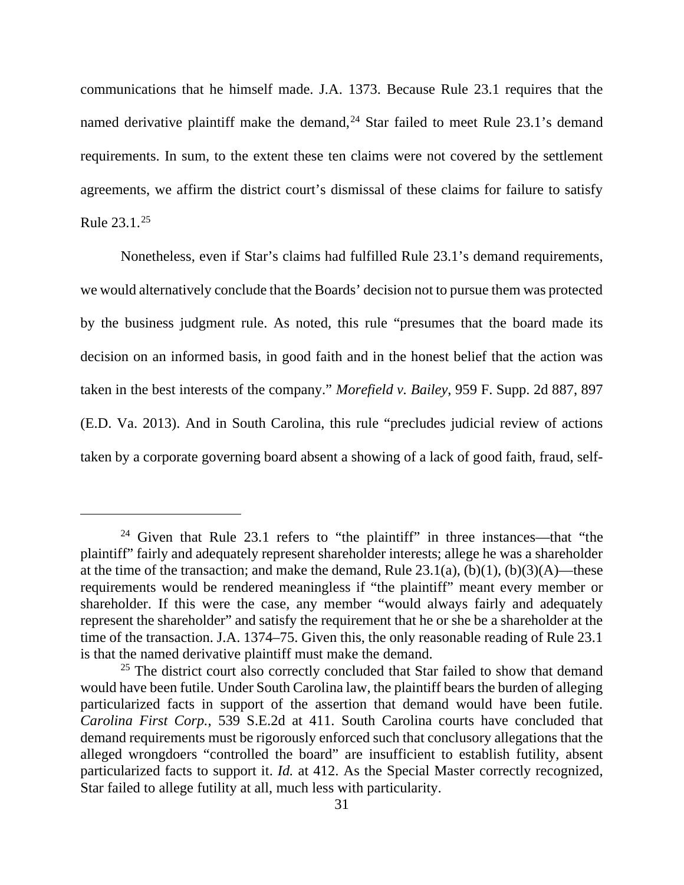communications that he himself made. J.A. 1373. Because Rule 23.1 requires that the named derivative plaintiff make the demand,<sup>[24](#page-30-0)</sup> Star failed to meet Rule 23.1's demand requirements. In sum, to the extent these ten claims were not covered by the settlement agreements, we affirm the district court's dismissal of these claims for failure to satisfy Rule 23.1.[25](#page-30-1)

Nonetheless, even if Star's claims had fulfilled Rule 23.1's demand requirements, we would alternatively conclude that the Boards' decision not to pursue them was protected by the business judgment rule. As noted, this rule "presumes that the board made its decision on an informed basis, in good faith and in the honest belief that the action was taken in the best interests of the company." *Morefield v. Bailey*, 959 F. Supp. 2d 887, 897 (E.D. Va. 2013). And in South Carolina, this rule "precludes judicial review of actions taken by a corporate governing board absent a showing of a lack of good faith, fraud, self-

<span id="page-30-0"></span><sup>&</sup>lt;sup>24</sup> Given that Rule 23.1 refers to "the plaintiff" in three instances—that "the plaintiff" fairly and adequately represent shareholder interests; allege he was a shareholder at the time of the transaction; and make the demand, Rule  $23.1(a)$ ,  $(b)(1)$ ,  $(b)(3)(A)$ —these requirements would be rendered meaningless if "the plaintiff" meant every member or shareholder. If this were the case, any member "would always fairly and adequately represent the shareholder" and satisfy the requirement that he or she be a shareholder at the time of the transaction. J.A. 1374–75. Given this, the only reasonable reading of Rule 23.1 is that the named derivative plaintiff must make the demand.

<span id="page-30-1"></span> $25$  The district court also correctly concluded that Star failed to show that demand would have been futile. Under South Carolina law, the plaintiff bears the burden of alleging particularized facts in support of the assertion that demand would have been futile. *Carolina First Corp.*, 539 S.E.2d at 411. South Carolina courts have concluded that demand requirements must be rigorously enforced such that conclusory allegations that the alleged wrongdoers "controlled the board" are insufficient to establish futility, absent particularized facts to support it. *Id.* at 412. As the Special Master correctly recognized, Star failed to allege futility at all, much less with particularity.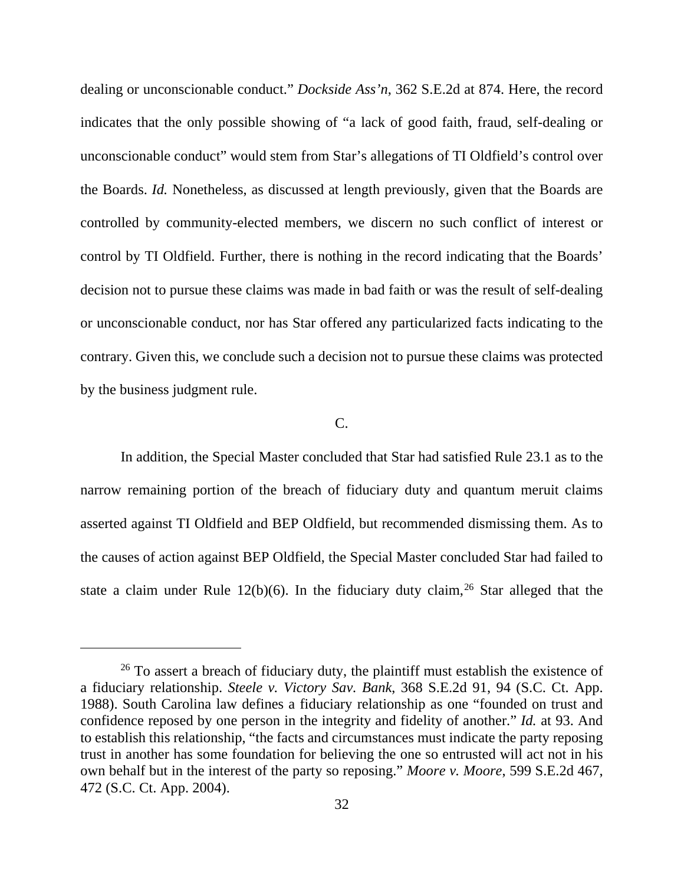dealing or unconscionable conduct." *Dockside Ass'n*, 362 S.E.2d at 874. Here, the record indicates that the only possible showing of "a lack of good faith, fraud, self-dealing or unconscionable conduct" would stem from Star's allegations of TI Oldfield's control over the Boards. *Id.* Nonetheless, as discussed at length previously, given that the Boards are controlled by community-elected members, we discern no such conflict of interest or control by TI Oldfield. Further, there is nothing in the record indicating that the Boards' decision not to pursue these claims was made in bad faith or was the result of self-dealing or unconscionable conduct, nor has Star offered any particularized facts indicating to the contrary. Given this, we conclude such a decision not to pursue these claims was protected by the business judgment rule.

#### C.

In addition, the Special Master concluded that Star had satisfied Rule 23.1 as to the narrow remaining portion of the breach of fiduciary duty and quantum meruit claims asserted against TI Oldfield and BEP Oldfield, but recommended dismissing them. As to the causes of action against BEP Oldfield, the Special Master concluded Star had failed to state a claim under Rule  $12(b)(6)$ . In the fiduciary duty claim, <sup>[26](#page-31-0)</sup> Star alleged that the

<span id="page-31-0"></span> $26$  To assert a breach of fiduciary duty, the plaintiff must establish the existence of a fiduciary relationship. *Steele v. Victory Sav. Bank*, 368 S.E.2d 91, 94 (S.C. Ct. App. 1988). South Carolina law defines a fiduciary relationship as one "founded on trust and confidence reposed by one person in the integrity and fidelity of another." *Id.* at 93. And to establish this relationship, "the facts and circumstances must indicate the party reposing trust in another has some foundation for believing the one so entrusted will act not in his own behalf but in the interest of the party so reposing." *Moore v. Moore*, 599 S.E.2d 467, 472 (S.C. Ct. App. 2004).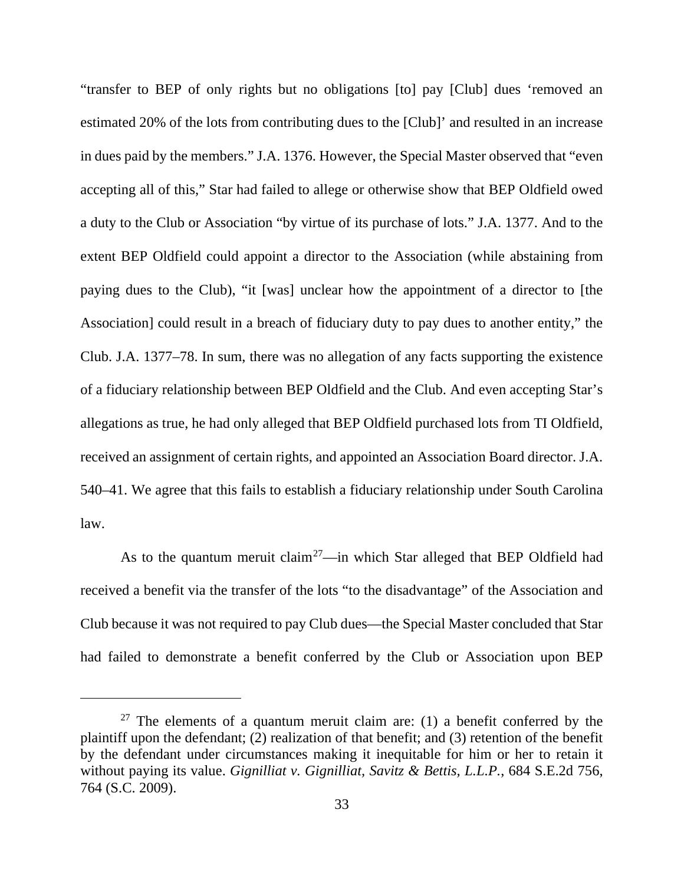"transfer to BEP of only rights but no obligations [to] pay [Club] dues 'removed an estimated 20% of the lots from contributing dues to the [Club]' and resulted in an increase in dues paid by the members." J.A. 1376. However, the Special Master observed that "even accepting all of this," Star had failed to allege or otherwise show that BEP Oldfield owed a duty to the Club or Association "by virtue of its purchase of lots." J.A. 1377. And to the extent BEP Oldfield could appoint a director to the Association (while abstaining from paying dues to the Club), "it [was] unclear how the appointment of a director to [the Association] could result in a breach of fiduciary duty to pay dues to another entity," the Club. J.A. 1377–78. In sum, there was no allegation of any facts supporting the existence of a fiduciary relationship between BEP Oldfield and the Club. And even accepting Star's allegations as true, he had only alleged that BEP Oldfield purchased lots from TI Oldfield, received an assignment of certain rights, and appointed an Association Board director. J.A. 540–41. We agree that this fails to establish a fiduciary relationship under South Carolina law.

As to the quantum meruit claim<sup>[27](#page-32-0)</sup>—in which Star alleged that BEP Oldfield had received a benefit via the transfer of the lots "to the disadvantage" of the Association and Club because it was not required to pay Club dues—the Special Master concluded that Star had failed to demonstrate a benefit conferred by the Club or Association upon BEP

<span id="page-32-0"></span> $27$  The elements of a quantum meruit claim are: (1) a benefit conferred by the plaintiff upon the defendant; (2) realization of that benefit; and (3) retention of the benefit by the defendant under circumstances making it inequitable for him or her to retain it without paying its value. *Gignilliat v. Gignilliat, Savitz & Bettis, L.L.P.*, 684 S.E.2d 756, 764 (S.C. 2009).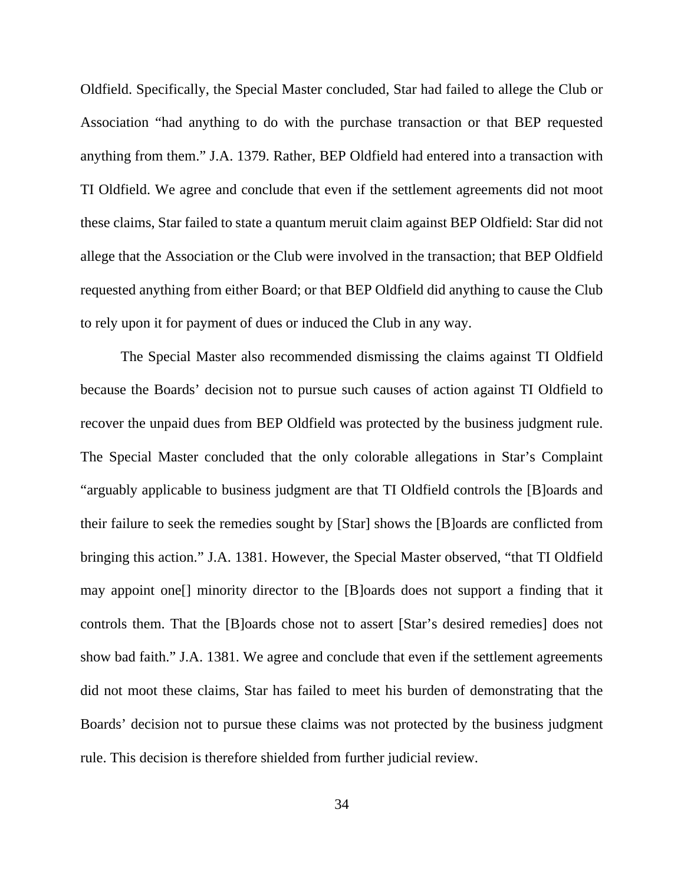Oldfield. Specifically, the Special Master concluded, Star had failed to allege the Club or Association "had anything to do with the purchase transaction or that BEP requested anything from them." J.A. 1379. Rather, BEP Oldfield had entered into a transaction with TI Oldfield. We agree and conclude that even if the settlement agreements did not moot these claims, Star failed to state a quantum meruit claim against BEP Oldfield: Star did not allege that the Association or the Club were involved in the transaction; that BEP Oldfield requested anything from either Board; or that BEP Oldfield did anything to cause the Club to rely upon it for payment of dues or induced the Club in any way.

The Special Master also recommended dismissing the claims against TI Oldfield because the Boards' decision not to pursue such causes of action against TI Oldfield to recover the unpaid dues from BEP Oldfield was protected by the business judgment rule. The Special Master concluded that the only colorable allegations in Star's Complaint "arguably applicable to business judgment are that TI Oldfield controls the [B]oards and their failure to seek the remedies sought by [Star] shows the [B]oards are conflicted from bringing this action." J.A. 1381. However, the Special Master observed, "that TI Oldfield may appoint one[] minority director to the [B]oards does not support a finding that it controls them. That the [B]oards chose not to assert [Star's desired remedies] does not show bad faith." J.A. 1381. We agree and conclude that even if the settlement agreements did not moot these claims, Star has failed to meet his burden of demonstrating that the Boards' decision not to pursue these claims was not protected by the business judgment rule. This decision is therefore shielded from further judicial review.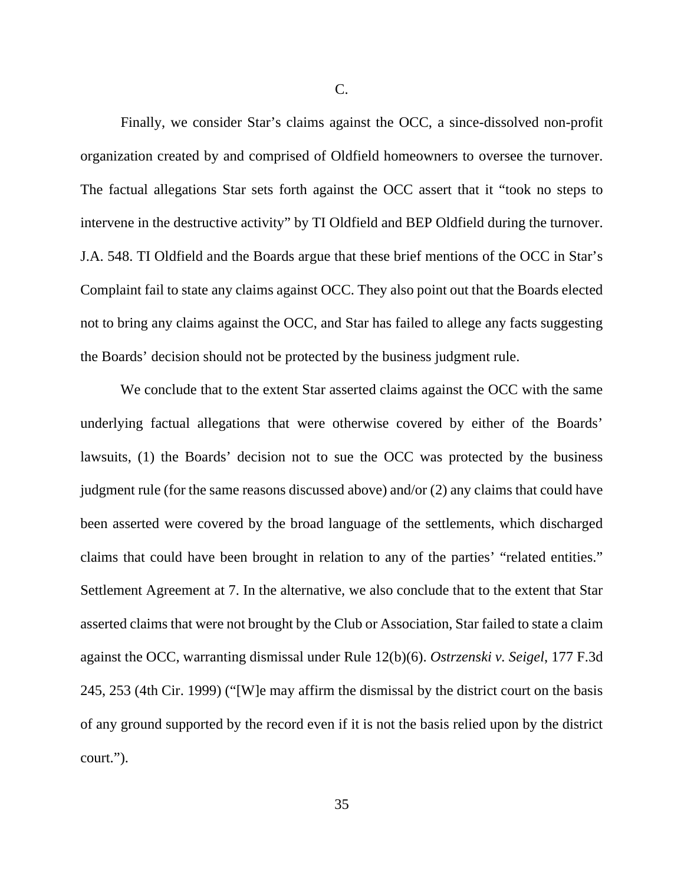C.

Finally, we consider Star's claims against the OCC, a since-dissolved non-profit organization created by and comprised of Oldfield homeowners to oversee the turnover. The factual allegations Star sets forth against the OCC assert that it "took no steps to intervene in the destructive activity" by TI Oldfield and BEP Oldfield during the turnover. J.A. 548. TI Oldfield and the Boards argue that these brief mentions of the OCC in Star's Complaint fail to state any claims against OCC. They also point out that the Boards elected not to bring any claims against the OCC, and Star has failed to allege any facts suggesting the Boards' decision should not be protected by the business judgment rule.

We conclude that to the extent Star asserted claims against the OCC with the same underlying factual allegations that were otherwise covered by either of the Boards' lawsuits, (1) the Boards' decision not to sue the OCC was protected by the business judgment rule (for the same reasons discussed above) and/or (2) any claims that could have been asserted were covered by the broad language of the settlements, which discharged claims that could have been brought in relation to any of the parties' "related entities." Settlement Agreement at 7. In the alternative, we also conclude that to the extent that Star asserted claims that were not brought by the Club or Association, Star failed to state a claim against the OCC, warranting dismissal under Rule 12(b)(6). *Ostrzenski v. Seigel*, 177 F.3d 245, 253 (4th Cir. 1999) ("[W]e may affirm the dismissal by the district court on the basis of any ground supported by the record even if it is not the basis relied upon by the district court.").